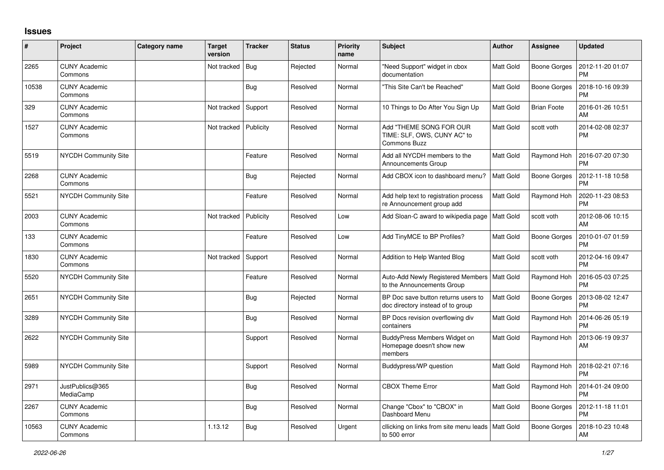## **Issues**

| #     | Project                         | <b>Category name</b> | <b>Target</b><br>version | <b>Tracker</b> | <b>Status</b> | <b>Priority</b><br>name | <b>Subject</b>                                                           | <b>Author</b>    | <b>Assignee</b>     | <b>Updated</b>                |
|-------|---------------------------------|----------------------|--------------------------|----------------|---------------|-------------------------|--------------------------------------------------------------------------|------------------|---------------------|-------------------------------|
| 2265  | <b>CUNY Academic</b><br>Commons |                      | Not tracked              | <b>Bug</b>     | Rejected      | Normal                  | "Need Support" widget in cbox<br>documentation                           | <b>Matt Gold</b> | <b>Boone Gorges</b> | 2012-11-20 01:07<br><b>PM</b> |
| 10538 | <b>CUNY Academic</b><br>Commons |                      |                          | <b>Bug</b>     | Resolved      | Normal                  | "This Site Can't be Reached"                                             | <b>Matt Gold</b> | <b>Boone Gorges</b> | 2018-10-16 09:39<br><b>PM</b> |
| 329   | <b>CUNY Academic</b><br>Commons |                      | Not tracked              | Support        | Resolved      | Normal                  | 10 Things to Do After You Sign Up                                        | Matt Gold        | <b>Brian Foote</b>  | 2016-01-26 10:51<br>AM        |
| 1527  | <b>CUNY Academic</b><br>Commons |                      | Not tracked              | Publicity      | Resolved      | Normal                  | Add "THEME SONG FOR OUR<br>TIME: SLF, OWS, CUNY AC" to<br>Commons Buzz   | <b>Matt Gold</b> | scott voth          | 2014-02-08 02:37<br><b>PM</b> |
| 5519  | <b>NYCDH Community Site</b>     |                      |                          | Feature        | Resolved      | Normal                  | Add all NYCDH members to the<br><b>Announcements Group</b>               | <b>Matt Gold</b> | Raymond Hoh         | 2016-07-20 07:30<br><b>PM</b> |
| 2268  | <b>CUNY Academic</b><br>Commons |                      |                          | Bug            | Rejected      | Normal                  | Add CBOX icon to dashboard menu?                                         | <b>Matt Gold</b> | <b>Boone Gorges</b> | 2012-11-18 10:58<br><b>PM</b> |
| 5521  | <b>NYCDH Community Site</b>     |                      |                          | Feature        | Resolved      | Normal                  | Add help text to registration process<br>re Announcement group add       | Matt Gold        | Raymond Hoh         | 2020-11-23 08:53<br><b>PM</b> |
| 2003  | <b>CUNY Academic</b><br>Commons |                      | Not tracked              | Publicity      | Resolved      | Low                     | Add Sloan-C award to wikipedia page                                      | <b>Matt Gold</b> | scott voth          | 2012-08-06 10:15<br>AM        |
| 133   | <b>CUNY Academic</b><br>Commons |                      |                          | Feature        | Resolved      | Low                     | Add TinyMCE to BP Profiles?                                              | <b>Matt Gold</b> | <b>Boone Gorges</b> | 2010-01-07 01:59<br><b>PM</b> |
| 1830  | <b>CUNY Academic</b><br>Commons |                      | Not tracked              | Support        | Resolved      | Normal                  | Addition to Help Wanted Blog                                             | <b>Matt Gold</b> | scott voth          | 2012-04-16 09:47<br><b>PM</b> |
| 5520  | NYCDH Community Site            |                      |                          | Feature        | Resolved      | Normal                  | Auto-Add Newly Registered Members<br>to the Announcements Group          | Matt Gold        | Raymond Hoh         | 2016-05-03 07:25<br>PM        |
| 2651  | <b>NYCDH Community Site</b>     |                      |                          | <b>Bug</b>     | Rejected      | Normal                  | BP Doc save button returns users to<br>doc directory instead of to group | Matt Gold        | Boone Gorges        | 2013-08-02 12:47<br><b>PM</b> |
| 3289  | NYCDH Community Site            |                      |                          | <b>Bug</b>     | Resolved      | Normal                  | BP Docs revision overflowing div<br>containers                           | <b>Matt Gold</b> | Raymond Hoh         | 2014-06-26 05:19<br><b>PM</b> |
| 2622  | <b>NYCDH Community Site</b>     |                      |                          | Support        | Resolved      | Normal                  | BuddyPress Members Widget on<br>Homepage doesn't show new<br>members     | <b>Matt Gold</b> | Raymond Hoh         | 2013-06-19 09:37<br>AM        |
| 5989  | NYCDH Community Site            |                      |                          | Support        | Resolved      | Normal                  | Buddypress/WP question                                                   | Matt Gold        | Raymond Hoh         | 2018-02-21 07:16<br><b>PM</b> |
| 2971  | JustPublics@365<br>MediaCamp    |                      |                          | <b>Bug</b>     | Resolved      | Normal                  | <b>CBOX Theme Error</b>                                                  | <b>Matt Gold</b> | Raymond Hoh         | 2014-01-24 09:00<br><b>PM</b> |
| 2267  | <b>CUNY Academic</b><br>Commons |                      |                          | <b>Bug</b>     | Resolved      | Normal                  | Change "Cbox" to "CBOX" in<br>Dashboard Menu                             | <b>Matt Gold</b> | <b>Boone Gorges</b> | 2012-11-18 11:01<br><b>PM</b> |
| 10563 | <b>CUNY Academic</b><br>Commons |                      | 1.13.12                  | <b>Bug</b>     | Resolved      | Urgent                  | cllicking on links from site menu leads<br>to 500 error                  | <b>Matt Gold</b> | <b>Boone Gorges</b> | 2018-10-23 10:48<br>AM        |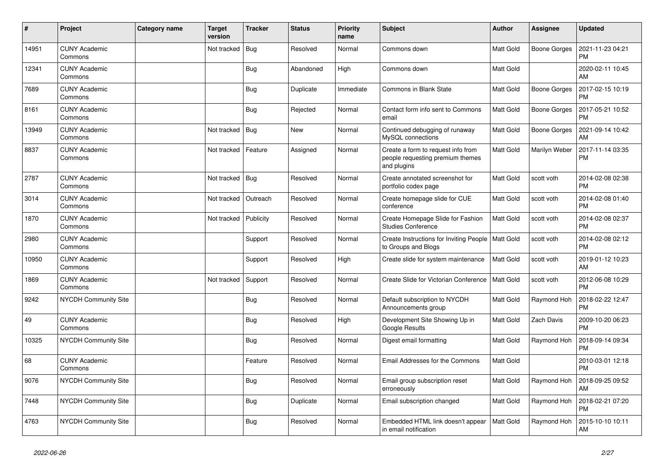| $\pmb{\sharp}$ | Project                         | Category name | <b>Target</b><br>version | <b>Tracker</b> | <b>Status</b> | <b>Priority</b><br>name | <b>Subject</b>                                                                        | <b>Author</b>    | Assignee          | <b>Updated</b>                |
|----------------|---------------------------------|---------------|--------------------------|----------------|---------------|-------------------------|---------------------------------------------------------------------------------------|------------------|-------------------|-------------------------------|
| 14951          | <b>CUNY Academic</b><br>Commons |               | Not tracked              | <b>Bug</b>     | Resolved      | Normal                  | Commons down                                                                          | <b>Matt Gold</b> | Boone Gorges      | 2021-11-23 04:21<br><b>PM</b> |
| 12341          | <b>CUNY Academic</b><br>Commons |               |                          | Bug            | Abandoned     | High                    | Commons down                                                                          | <b>Matt Gold</b> |                   | 2020-02-11 10:45<br>AM        |
| 7689           | <b>CUNY Academic</b><br>Commons |               |                          | <b>Bug</b>     | Duplicate     | Immediate               | Commons in Blank State                                                                | <b>Matt Gold</b> | Boone Gorges      | 2017-02-15 10:19<br><b>PM</b> |
| 8161           | <b>CUNY Academic</b><br>Commons |               |                          | Bug            | Rejected      | Normal                  | Contact form info sent to Commons<br>email                                            | <b>Matt Gold</b> | Boone Gorges      | 2017-05-21 10:52<br><b>PM</b> |
| 13949          | <b>CUNY Academic</b><br>Commons |               | Not tracked              | Bug            | <b>New</b>    | Normal                  | Continued debugging of runaway<br>MySQL connections                                   | Matt Gold        | Boone Gorges      | 2021-09-14 10:42<br>AM        |
| 8837           | <b>CUNY Academic</b><br>Commons |               | Not tracked              | Feature        | Assigned      | Normal                  | Create a form to request info from<br>people requesting premium themes<br>and plugins | <b>Matt Gold</b> | Marilyn Weber     | 2017-11-14 03:35<br>PM        |
| 2787           | <b>CUNY Academic</b><br>Commons |               | Not tracked              | <b>Bug</b>     | Resolved      | Normal                  | Create annotated screenshot for<br>portfolio codex page                               | <b>Matt Gold</b> | scott voth        | 2014-02-08 02:38<br><b>PM</b> |
| 3014           | <b>CUNY Academic</b><br>Commons |               | Not tracked              | Outreach       | Resolved      | Normal                  | Create homepage slide for CUE<br>conference                                           | <b>Matt Gold</b> | scott voth        | 2014-02-08 01:40<br><b>PM</b> |
| 1870           | <b>CUNY Academic</b><br>Commons |               | Not tracked              | Publicity      | Resolved      | Normal                  | Create Homepage Slide for Fashion<br><b>Studies Conference</b>                        | Matt Gold        | scott voth        | 2014-02-08 02:37<br><b>PM</b> |
| 2980           | <b>CUNY Academic</b><br>Commons |               |                          | Support        | Resolved      | Normal                  | Create Instructions for Inviting People<br>to Groups and Blogs                        | <b>Matt Gold</b> | scott voth        | 2014-02-08 02:12<br><b>PM</b> |
| 10950          | <b>CUNY Academic</b><br>Commons |               |                          | Support        | Resolved      | High                    | Create slide for system maintenance                                                   | <b>Matt Gold</b> | scott voth        | 2019-01-12 10:23<br>AM        |
| 1869           | <b>CUNY Academic</b><br>Commons |               | Not tracked              | Support        | Resolved      | Normal                  | Create Slide for Victorian Conference                                                 | <b>Matt Gold</b> | scott voth        | 2012-06-08 10:29<br><b>PM</b> |
| 9242           | <b>NYCDH Community Site</b>     |               |                          | <b>Bug</b>     | Resolved      | Normal                  | Default subscription to NYCDH<br>Announcements group                                  | <b>Matt Gold</b> | Raymond Hoh       | 2018-02-22 12:47<br><b>PM</b> |
| 49             | <b>CUNY Academic</b><br>Commons |               |                          | Bug            | Resolved      | High                    | Development Site Showing Up in<br>Google Results                                      | Matt Gold        | <b>Zach Davis</b> | 2009-10-20 06:23<br><b>PM</b> |
| 10325          | NYCDH Community Site            |               |                          | <b>Bug</b>     | Resolved      | Normal                  | Digest email formatting                                                               | <b>Matt Gold</b> | Raymond Hoh       | 2018-09-14 09:34<br><b>PM</b> |
| 68             | <b>CUNY Academic</b><br>Commons |               |                          | Feature        | Resolved      | Normal                  | Email Addresses for the Commons                                                       | <b>Matt Gold</b> |                   | 2010-03-01 12:18<br><b>PM</b> |
| 9076           | <b>NYCDH Community Site</b>     |               |                          | <b>Bug</b>     | Resolved      | Normal                  | Email group subscription reset<br>erroneously                                         | <b>Matt Gold</b> | Raymond Hoh       | 2018-09-25 09:52<br>AM        |
| 7448           | <b>NYCDH Community Site</b>     |               |                          | Bug            | Duplicate     | Normal                  | Email subscription changed                                                            | <b>Matt Gold</b> | Raymond Hoh       | 2018-02-21 07:20<br><b>PM</b> |
| 4763           | <b>NYCDH Community Site</b>     |               |                          | Bug            | Resolved      | Normal                  | Embedded HTML link doesn't appear<br>in email notification                            | <b>Matt Gold</b> | Raymond Hoh       | 2015-10-10 10:11<br>AM        |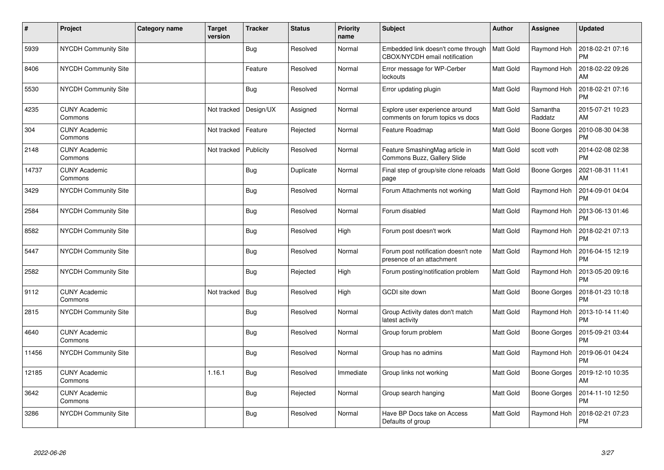| #     | Project                         | <b>Category name</b> | Target<br>version | <b>Tracker</b> | <b>Status</b> | <b>Priority</b><br>name | <b>Subject</b>                                                      | <b>Author</b>    | <b>Assignee</b>     | <b>Updated</b>                |
|-------|---------------------------------|----------------------|-------------------|----------------|---------------|-------------------------|---------------------------------------------------------------------|------------------|---------------------|-------------------------------|
| 5939  | NYCDH Community Site            |                      |                   | Bug            | Resolved      | Normal                  | Embedded link doesn't come through<br>CBOX/NYCDH email notification | <b>Matt Gold</b> | Raymond Hoh         | 2018-02-21 07:16<br><b>PM</b> |
| 8406  | <b>NYCDH Community Site</b>     |                      |                   | Feature        | Resolved      | Normal                  | Error message for WP-Cerber<br>lockouts                             | <b>Matt Gold</b> | Raymond Hoh         | 2018-02-22 09:26<br>AM        |
| 5530  | <b>NYCDH Community Site</b>     |                      |                   | <b>Bug</b>     | Resolved      | Normal                  | Error updating plugin                                               | <b>Matt Gold</b> | Raymond Hoh         | 2018-02-21 07:16<br><b>PM</b> |
| 4235  | <b>CUNY Academic</b><br>Commons |                      | Not tracked       | Design/UX      | Assigned      | Normal                  | Explore user experience around<br>comments on forum topics vs docs  | <b>Matt Gold</b> | Samantha<br>Raddatz | 2015-07-21 10:23<br>AM        |
| 304   | <b>CUNY Academic</b><br>Commons |                      | Not tracked       | Feature        | Rejected      | Normal                  | Feature Roadmap                                                     | <b>Matt Gold</b> | Boone Gorges        | 2010-08-30 04:38<br><b>PM</b> |
| 2148  | <b>CUNY Academic</b><br>Commons |                      | Not tracked       | Publicity      | Resolved      | Normal                  | Feature SmashingMag article in<br>Commons Buzz, Gallery Slide       | Matt Gold        | scott voth          | 2014-02-08 02:38<br><b>PM</b> |
| 14737 | <b>CUNY Academic</b><br>Commons |                      |                   | <b>Bug</b>     | Duplicate     | Normal                  | Final step of group/site clone reloads<br>page                      | Matt Gold        | <b>Boone Gorges</b> | 2021-08-31 11:41<br><b>AM</b> |
| 3429  | <b>NYCDH Community Site</b>     |                      |                   | Bug            | Resolved      | Normal                  | Forum Attachments not working                                       | <b>Matt Gold</b> | Raymond Hoh         | 2014-09-01 04:04<br><b>PM</b> |
| 2584  | NYCDH Community Site            |                      |                   | Bug            | Resolved      | Normal                  | Forum disabled                                                      | <b>Matt Gold</b> | Raymond Hoh         | 2013-06-13 01:46<br><b>PM</b> |
| 8582  | NYCDH Community Site            |                      |                   | Bug            | Resolved      | High                    | Forum post doesn't work                                             | <b>Matt Gold</b> | Raymond Hoh         | 2018-02-21 07:13<br>PM        |
| 5447  | <b>NYCDH Community Site</b>     |                      |                   | Bug            | Resolved      | Normal                  | Forum post notification doesn't note<br>presence of an attachment   | <b>Matt Gold</b> | Raymond Hoh         | 2016-04-15 12:19<br><b>PM</b> |
| 2582  | NYCDH Community Site            |                      |                   | Bug            | Rejected      | High                    | Forum posting/notification problem                                  | Matt Gold        | Raymond Hoh         | 2013-05-20 09:16<br><b>PM</b> |
| 9112  | <b>CUNY Academic</b><br>Commons |                      | Not tracked       | Bug            | Resolved      | High                    | GCDI site down                                                      | Matt Gold        | Boone Gorges        | 2018-01-23 10:18<br><b>PM</b> |
| 2815  | <b>NYCDH Community Site</b>     |                      |                   | Bug            | Resolved      | Normal                  | Group Activity dates don't match<br>latest activity                 | <b>Matt Gold</b> | Raymond Hoh         | 2013-10-14 11:40<br><b>PM</b> |
| 4640  | <b>CUNY Academic</b><br>Commons |                      |                   | Bug            | Resolved      | Normal                  | Group forum problem                                                 | Matt Gold        | <b>Boone Gorges</b> | 2015-09-21 03:44<br><b>PM</b> |
| 11456 | <b>NYCDH Community Site</b>     |                      |                   | Bug            | Resolved      | Normal                  | Group has no admins                                                 | <b>Matt Gold</b> | Raymond Hoh         | 2019-06-01 04:24<br><b>PM</b> |
| 12185 | <b>CUNY Academic</b><br>Commons |                      | 1.16.1            | <b>Bug</b>     | Resolved      | Immediate               | Group links not working                                             | <b>Matt Gold</b> | Boone Gorges        | 2019-12-10 10:35<br>AM        |
| 3642  | <b>CUNY Academic</b><br>Commons |                      |                   | Bug            | Rejected      | Normal                  | Group search hanging                                                | <b>Matt Gold</b> | Boone Gorges        | 2014-11-10 12:50<br><b>PM</b> |
| 3286  | NYCDH Community Site            |                      |                   | Bug            | Resolved      | Normal                  | Have BP Docs take on Access<br>Defaults of group                    | <b>Matt Gold</b> | Raymond Hoh         | 2018-02-21 07:23<br><b>PM</b> |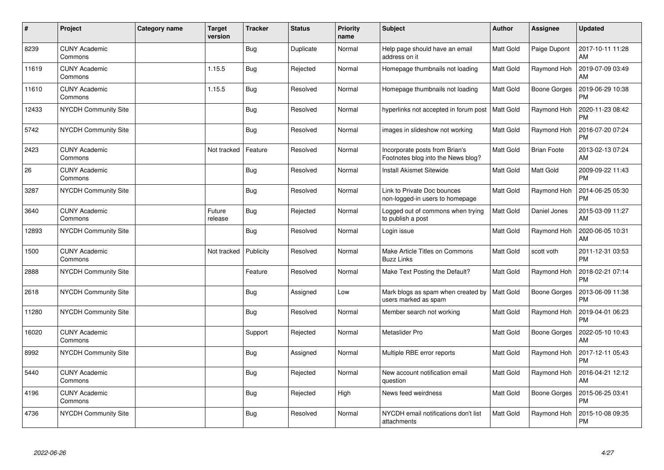| #     | Project                         | <b>Category name</b> | Target<br>version | <b>Tracker</b> | <b>Status</b> | <b>Priority</b><br>name | <b>Subject</b>                                                       | Author           | <b>Assignee</b>     | <b>Updated</b>                |
|-------|---------------------------------|----------------------|-------------------|----------------|---------------|-------------------------|----------------------------------------------------------------------|------------------|---------------------|-------------------------------|
| 8239  | <b>CUNY Academic</b><br>Commons |                      |                   | Bug            | Duplicate     | Normal                  | Help page should have an email<br>address on it                      | <b>Matt Gold</b> | Paige Dupont        | 2017-10-11 11:28<br>AM        |
| 11619 | <b>CUNY Academic</b><br>Commons |                      | 1.15.5            | Bug            | Rejected      | Normal                  | Homepage thumbnails not loading                                      | <b>Matt Gold</b> | Raymond Hoh         | 2019-07-09 03:49<br>AM        |
| 11610 | <b>CUNY Academic</b><br>Commons |                      | 1.15.5            | Bug            | Resolved      | Normal                  | Homepage thumbnails not loading                                      | Matt Gold        | Boone Gorges        | 2019-06-29 10:38<br><b>PM</b> |
| 12433 | <b>NYCDH Community Site</b>     |                      |                   | Bug            | Resolved      | Normal                  | hyperlinks not accepted in forum post                                | <b>Matt Gold</b> | Raymond Hoh         | 2020-11-23 08:42<br><b>PM</b> |
| 5742  | NYCDH Community Site            |                      |                   | <b>Bug</b>     | Resolved      | Normal                  | images in slideshow not working                                      | <b>Matt Gold</b> | Raymond Hoh         | 2016-07-20 07:24<br><b>PM</b> |
| 2423  | <b>CUNY Academic</b><br>Commons |                      | Not tracked       | Feature        | Resolved      | Normal                  | Incorporate posts from Brian's<br>Footnotes blog into the News blog? | Matt Gold        | <b>Brian Foote</b>  | 2013-02-13 07:24<br>AM        |
| 26    | <b>CUNY Academic</b><br>Commons |                      |                   | <b>Bug</b>     | Resolved      | Normal                  | <b>Install Akismet Sitewide</b>                                      | <b>Matt Gold</b> | Matt Gold           | 2009-09-22 11:43<br><b>PM</b> |
| 3287  | <b>NYCDH Community Site</b>     |                      |                   | Bug            | Resolved      | Normal                  | Link to Private Doc bounces<br>non-logged-in users to homepage       | Matt Gold        | Raymond Hoh         | 2014-06-25 05:30<br><b>PM</b> |
| 3640  | <b>CUNY Academic</b><br>Commons |                      | Future<br>release | <b>Bug</b>     | Rejected      | Normal                  | Logged out of commons when trying<br>to publish a post               | Matt Gold        | Daniel Jones        | 2015-03-09 11:27<br>AM        |
| 12893 | NYCDH Community Site            |                      |                   | <b>Bug</b>     | Resolved      | Normal                  | Login issue                                                          | <b>Matt Gold</b> | Raymond Hoh         | 2020-06-05 10:31<br>AM        |
| 1500  | <b>CUNY Academic</b><br>Commons |                      | Not tracked       | Publicity      | Resolved      | Normal                  | Make Article Titles on Commons<br><b>Buzz Links</b>                  | <b>Matt Gold</b> | scott voth          | 2011-12-31 03:53<br><b>PM</b> |
| 2888  | NYCDH Community Site            |                      |                   | Feature        | Resolved      | Normal                  | Make Text Posting the Default?                                       | Matt Gold        | Raymond Hoh         | 2018-02-21 07:14<br><b>PM</b> |
| 2618  | NYCDH Community Site            |                      |                   | Bug            | Assigned      | Low                     | Mark blogs as spam when created by<br>users marked as spam           | <b>Matt Gold</b> | Boone Gorges        | 2013-06-09 11:38<br><b>PM</b> |
| 11280 | <b>NYCDH Community Site</b>     |                      |                   | Bug            | Resolved      | Normal                  | Member search not working                                            | Matt Gold        | Raymond Hoh         | 2019-04-01 06:23<br><b>PM</b> |
| 16020 | <b>CUNY Academic</b><br>Commons |                      |                   | Support        | Rejected      | Normal                  | Metaslider Pro                                                       | Matt Gold        | <b>Boone Gorges</b> | 2022-05-10 10:43<br>AM        |
| 8992  | <b>NYCDH Community Site</b>     |                      |                   | Bug            | Assigned      | Normal                  | Multiple RBE error reports                                           | Matt Gold        | Raymond Hoh         | 2017-12-11 05:43<br><b>PM</b> |
| 5440  | <b>CUNY Academic</b><br>Commons |                      |                   | <b>Bug</b>     | Rejected      | Normal                  | New account notification email<br>question                           | <b>Matt Gold</b> | Raymond Hoh         | 2016-04-21 12:12<br>AM        |
| 4196  | <b>CUNY Academic</b><br>Commons |                      |                   | Bug            | Rejected      | High                    | News feed weirdness                                                  | <b>Matt Gold</b> | Boone Gorges        | 2015-06-25 03:41<br><b>PM</b> |
| 4736  | NYCDH Community Site            |                      |                   | <b>Bug</b>     | Resolved      | Normal                  | NYCDH email notifications don't list<br>attachments                  | Matt Gold        | Raymond Hoh         | 2015-10-08 09:35<br><b>PM</b> |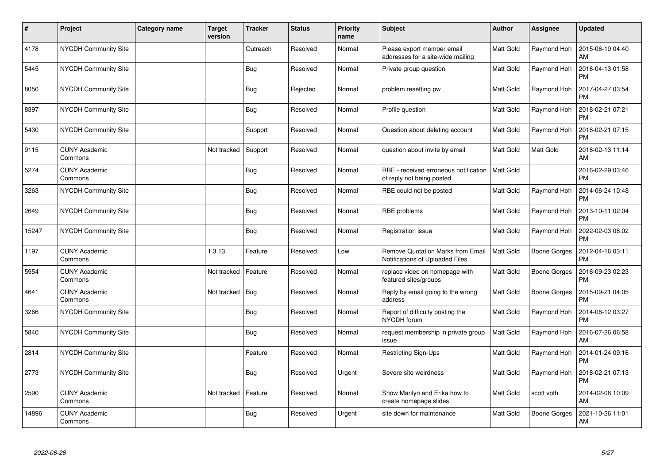| #     | Project                         | <b>Category name</b> | Target<br>version | <b>Tracker</b> | <b>Status</b> | <b>Priority</b><br>name | <b>Subject</b>                                                              | <b>Author</b>    | <b>Assignee</b> | <b>Updated</b>                |
|-------|---------------------------------|----------------------|-------------------|----------------|---------------|-------------------------|-----------------------------------------------------------------------------|------------------|-----------------|-------------------------------|
| 4178  | <b>NYCDH Community Site</b>     |                      |                   | Outreach       | Resolved      | Normal                  | Please export member email<br>addresses for a site-wide mailing             | <b>Matt Gold</b> | Raymond Hoh     | 2015-06-19 04:40<br>AM        |
| 5445  | <b>NYCDH Community Site</b>     |                      |                   | Bug            | Resolved      | Normal                  | Private group question                                                      | <b>Matt Gold</b> | Raymond Hoh     | 2016-04-13 01:58<br><b>PM</b> |
| 8050  | NYCDH Community Site            |                      |                   | <b>Bug</b>     | Rejected      | Normal                  | problem resetting pw                                                        | <b>Matt Gold</b> | Raymond Hoh     | 2017-04-27 03:54<br><b>PM</b> |
| 8397  | <b>NYCDH Community Site</b>     |                      |                   | Bug            | Resolved      | Normal                  | Profile question                                                            | Matt Gold        | Raymond Hoh     | 2018-02-21 07:21<br><b>PM</b> |
| 5430  | <b>NYCDH Community Site</b>     |                      |                   | Support        | Resolved      | Normal                  | Question about deleting account                                             | <b>Matt Gold</b> | Raymond Hoh     | 2018-02-21 07:15<br><b>PM</b> |
| 9115  | <b>CUNY Academic</b><br>Commons |                      | Not tracked       | Support        | Resolved      | Normal                  | question about invite by email                                              | <b>Matt Gold</b> | Matt Gold       | 2018-02-13 11:14<br>AM        |
| 5274  | <b>CUNY Academic</b><br>Commons |                      |                   | Bug            | Resolved      | Normal                  | RBE - received erroneous notification<br>of reply not being posted          | Matt Gold        |                 | 2016-02-29 03:46<br><b>PM</b> |
| 3263  | <b>NYCDH Community Site</b>     |                      |                   | Bug            | Resolved      | Normal                  | RBE could not be posted                                                     | <b>Matt Gold</b> | Raymond Hoh     | 2014-06-24 10:48<br><b>PM</b> |
| 2649  | NYCDH Community Site            |                      |                   | <b>Bug</b>     | Resolved      | Normal                  | RBE problems                                                                | <b>Matt Gold</b> | Raymond Hoh     | 2013-10-11 02:04<br><b>PM</b> |
| 15247 | <b>NYCDH Community Site</b>     |                      |                   | <b>Bug</b>     | Resolved      | Normal                  | Registration issue                                                          | Matt Gold        | Raymond Hoh     | 2022-02-03 08:02<br>PM        |
| 1197  | <b>CUNY Academic</b><br>Commons |                      | 1.3.13            | Feature        | Resolved      | Low                     | <b>Remove Quotation Marks from Email</b><br>Notifications of Uploaded Files | <b>Matt Gold</b> | Boone Gorges    | 2012-04-16 03:11<br><b>PM</b> |
| 5954  | <b>CUNY Academic</b><br>Commons |                      | Not tracked       | Feature        | Resolved      | Normal                  | replace video on homepage with<br>featured sites/groups                     | Matt Gold        | Boone Gorges    | 2016-09-23 02:23<br><b>PM</b> |
| 4641  | <b>CUNY Academic</b><br>Commons |                      | Not tracked       | <b>Bug</b>     | Resolved      | Normal                  | Reply by email going to the wrong<br>address                                | <b>Matt Gold</b> | Boone Gorges    | 2015-09-21 04:05<br><b>PM</b> |
| 3266  | <b>NYCDH Community Site</b>     |                      |                   | <b>Bug</b>     | Resolved      | Normal                  | Report of difficulty posting the<br>NYCDH forum                             | <b>Matt Gold</b> | Raymond Hoh     | 2014-06-12 03:27<br><b>PM</b> |
| 5840  | NYCDH Community Site            |                      |                   | <b>Bug</b>     | Resolved      | Normal                  | request membership in private group<br>issue                                | <b>Matt Gold</b> | Raymond Hoh     | 2016-07-26 06:58<br>AM        |
| 2814  | <b>NYCDH Community Site</b>     |                      |                   | Feature        | Resolved      | Normal                  | <b>Restricting Sign-Ups</b>                                                 | <b>Matt Gold</b> | Raymond Hoh     | 2014-01-24 09:16<br><b>PM</b> |
| 2773  | <b>NYCDH Community Site</b>     |                      |                   | Bug            | Resolved      | Urgent                  | Severe site weirdness                                                       | <b>Matt Gold</b> | Raymond Hoh     | 2018-02-21 07:13<br><b>PM</b> |
| 2590  | <b>CUNY Academic</b><br>Commons |                      | Not tracked       | Feature        | Resolved      | Normal                  | Show Marilyn and Erika how to<br>create homepage slides                     | Matt Gold        | scott voth      | 2014-02-08 10:09<br>AM        |
| 14896 | <b>CUNY Academic</b><br>Commons |                      |                   | <b>Bug</b>     | Resolved      | Urgent                  | site down for maintenance                                                   | <b>Matt Gold</b> | Boone Gorges    | 2021-10-26 11:01<br>AM        |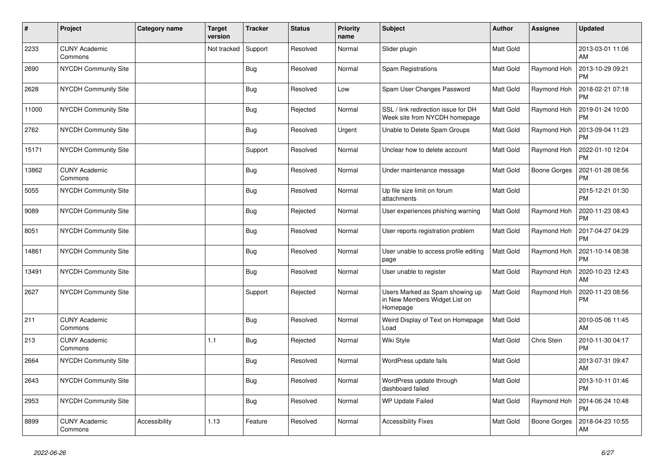| #     | Project                         | Category name | <b>Target</b><br>version | <b>Tracker</b> | <b>Status</b> | <b>Priority</b><br>name | <b>Subject</b>                                                               | <b>Author</b>    | <b>Assignee</b> | <b>Updated</b>                |
|-------|---------------------------------|---------------|--------------------------|----------------|---------------|-------------------------|------------------------------------------------------------------------------|------------------|-----------------|-------------------------------|
| 2233  | <b>CUNY Academic</b><br>Commons |               | Not tracked              | Support        | Resolved      | Normal                  | Slider plugin                                                                | <b>Matt Gold</b> |                 | 2013-03-01 11:06<br>AM        |
| 2690  | <b>NYCDH Community Site</b>     |               |                          | <b>Bug</b>     | Resolved      | Normal                  | Spam Registrations                                                           | <b>Matt Gold</b> | Raymond Hoh     | 2013-10-29 09:21<br><b>PM</b> |
| 2628  | NYCDH Community Site            |               |                          | <b>Bug</b>     | Resolved      | Low                     | Spam User Changes Password                                                   | <b>Matt Gold</b> | Raymond Hoh     | 2018-02-21 07:18<br><b>PM</b> |
| 11000 | NYCDH Community Site            |               |                          | <b>Bug</b>     | Rejected      | Normal                  | SSL / link redirection issue for DH<br>Week site from NYCDH homepage         | Matt Gold        | Raymond Hoh     | 2019-01-24 10:00<br><b>PM</b> |
| 2762  | <b>NYCDH Community Site</b>     |               |                          | Bug            | Resolved      | Urgent                  | Unable to Delete Spam Groups                                                 | <b>Matt Gold</b> | Raymond Hoh     | 2013-09-04 11:23<br>PM        |
| 15171 | <b>NYCDH Community Site</b>     |               |                          | Support        | Resolved      | Normal                  | Unclear how to delete account                                                | <b>Matt Gold</b> | Raymond Hoh     | 2022-01-10 12:04<br><b>PM</b> |
| 13862 | <b>CUNY Academic</b><br>Commons |               |                          | <b>Bug</b>     | Resolved      | Normal                  | Under maintenance message                                                    | <b>Matt Gold</b> | Boone Gorges    | 2021-01-28 08:56<br><b>PM</b> |
| 5055  | <b>NYCDH Community Site</b>     |               |                          | <b>Bug</b>     | Resolved      | Normal                  | Up file size limit on forum<br>attachments                                   | Matt Gold        |                 | 2015-12-21 01:30<br><b>PM</b> |
| 9089  | <b>NYCDH Community Site</b>     |               |                          | <b>Bug</b>     | Rejected      | Normal                  | User experiences phishing warning                                            | <b>Matt Gold</b> | Raymond Hoh     | 2020-11-23 08:43<br><b>PM</b> |
| 8051  | <b>NYCDH Community Site</b>     |               |                          | <b>Bug</b>     | Resolved      | Normal                  | User reports registration problem                                            | <b>Matt Gold</b> | Raymond Hoh     | 2017-04-27 04:29<br><b>PM</b> |
| 14861 | <b>NYCDH Community Site</b>     |               |                          | Bug            | Resolved      | Normal                  | User unable to access profile editing<br>page                                | Matt Gold        | Raymond Hoh     | 2021-10-14 08:38<br><b>PM</b> |
| 13491 | <b>NYCDH Community Site</b>     |               |                          | <b>Bug</b>     | Resolved      | Normal                  | User unable to register                                                      | Matt Gold        | Raymond Hoh     | 2020-10-23 12:43<br><b>AM</b> |
| 2627  | NYCDH Community Site            |               |                          | Support        | Rejected      | Normal                  | Users Marked as Spam showing up<br>in New Members Widget List on<br>Homepage | <b>Matt Gold</b> | Raymond Hoh     | 2020-11-23 08:56<br><b>PM</b> |
| 211   | <b>CUNY Academic</b><br>Commons |               |                          | <b>Bug</b>     | Resolved      | Normal                  | Weird Display of Text on Homepage<br>Load                                    | Matt Gold        |                 | 2010-05-06 11:45<br>AM        |
| 213   | <b>CUNY Academic</b><br>Commons |               | 1.1                      | <b>Bug</b>     | Rejected      | Normal                  | Wiki Style                                                                   | <b>Matt Gold</b> | Chris Stein     | 2010-11-30 04:17<br><b>PM</b> |
| 2664  | NYCDH Community Site            |               |                          | <b>Bug</b>     | Resolved      | Normal                  | WordPress update fails                                                       | Matt Gold        |                 | 2013-07-31 09:47<br>AM        |
| 2643  | <b>NYCDH Community Site</b>     |               |                          | Bug            | Resolved      | Normal                  | WordPress update through<br>dashboard failed                                 | <b>Matt Gold</b> |                 | 2013-10-11 01:46<br><b>PM</b> |
| 2953  | NYCDH Community Site            |               |                          | <b>Bug</b>     | Resolved      | Normal                  | <b>WP Update Failed</b>                                                      | <b>Matt Gold</b> | Raymond Hoh     | 2014-06-24 10:48<br><b>PM</b> |
| 8899  | <b>CUNY Academic</b><br>Commons | Accessibility | 1.13                     | Feature        | Resolved      | Normal                  | <b>Accessibility Fixes</b>                                                   | <b>Matt Gold</b> | Boone Gorges    | 2018-04-23 10:55<br>AM        |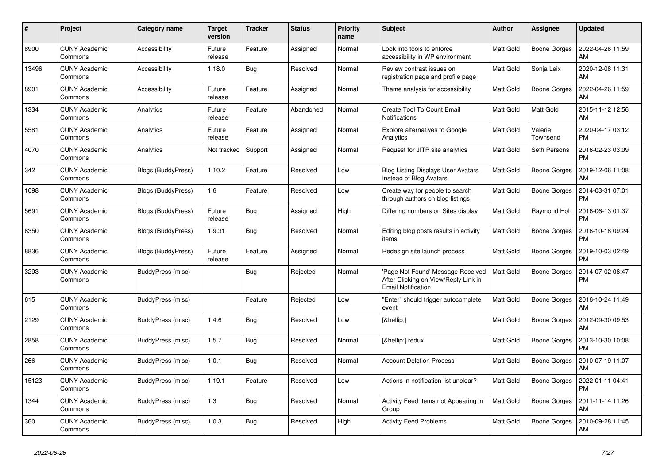| #     | Project                         | Category name            | Target<br>version | <b>Tracker</b> | <b>Status</b> | Priority<br>name | <b>Subject</b>                                                                                         | <b>Author</b>    | <b>Assignee</b>     | <b>Updated</b>                |
|-------|---------------------------------|--------------------------|-------------------|----------------|---------------|------------------|--------------------------------------------------------------------------------------------------------|------------------|---------------------|-------------------------------|
| 8900  | <b>CUNY Academic</b><br>Commons | Accessibility            | Future<br>release | Feature        | Assigned      | Normal           | Look into tools to enforce<br>accessibility in WP environment                                          | <b>Matt Gold</b> | Boone Gorges        | 2022-04-26 11:59<br>AM        |
| 13496 | <b>CUNY Academic</b><br>Commons | Accessibility            | 1.18.0            | <b>Bug</b>     | Resolved      | Normal           | Review contrast issues on<br>registration page and profile page                                        | <b>Matt Gold</b> | Sonja Leix          | 2020-12-08 11:31<br>AM        |
| 8901  | <b>CUNY Academic</b><br>Commons | Accessibility            | Future<br>release | Feature        | Assigned      | Normal           | Theme analysis for accessibility                                                                       | <b>Matt Gold</b> | Boone Gorges        | 2022-04-26 11:59<br>AM        |
| 1334  | <b>CUNY Academic</b><br>Commons | Analytics                | Future<br>release | Feature        | Abandoned     | Normal           | Create Tool To Count Email<br>Notifications                                                            | Matt Gold        | Matt Gold           | 2015-11-12 12:56<br>AM        |
| 5581  | <b>CUNY Academic</b><br>Commons | Analytics                | Future<br>release | Feature        | Assigned      | Normal           | Explore alternatives to Google<br>Analytics                                                            | <b>Matt Gold</b> | Valerie<br>Townsend | 2020-04-17 03:12<br><b>PM</b> |
| 4070  | <b>CUNY Academic</b><br>Commons | Analytics                | Not tracked       | Support        | Assigned      | Normal           | Request for JITP site analytics                                                                        | <b>Matt Gold</b> | Seth Persons        | 2016-02-23 03:09<br><b>PM</b> |
| 342   | <b>CUNY Academic</b><br>Commons | Blogs (BuddyPress)       | 1.10.2            | Feature        | Resolved      | Low              | <b>Blog Listing Displays User Avatars</b><br>Instead of Blog Avatars                                   | Matt Gold        | Boone Gorges        | 2019-12-06 11:08<br>AM        |
| 1098  | <b>CUNY Academic</b><br>Commons | Blogs (BuddyPress)       | 1.6               | Feature        | Resolved      | Low              | Create way for people to search<br>through authors on blog listings                                    | Matt Gold        | <b>Boone Gorges</b> | 2014-03-31 07:01<br><b>PM</b> |
| 5691  | <b>CUNY Academic</b><br>Commons | Blogs (BuddyPress)       | Future<br>release | Bug            | Assigned      | High             | Differing numbers on Sites display                                                                     | <b>Matt Gold</b> | Raymond Hoh         | 2016-06-13 01:37<br><b>PM</b> |
| 6350  | <b>CUNY Academic</b><br>Commons | Blogs (BuddyPress)       | 1.9.31            | Bug            | Resolved      | Normal           | Editing blog posts results in activity<br>items                                                        | Matt Gold        | Boone Gorges        | 2016-10-18 09:24<br><b>PM</b> |
| 8836  | <b>CUNY Academic</b><br>Commons | Blogs (BuddyPress)       | Future<br>release | Feature        | Assigned      | Normal           | Redesign site launch process                                                                           | Matt Gold        | Boone Gorges        | 2019-10-03 02:49<br><b>PM</b> |
| 3293  | <b>CUNY Academic</b><br>Commons | <b>BuddyPress (misc)</b> |                   | <b>Bug</b>     | Rejected      | Normal           | 'Page Not Found' Message Received<br>After Clicking on View/Reply Link in<br><b>Email Notification</b> | <b>Matt Gold</b> | Boone Gorges        | 2014-07-02 08:47<br><b>PM</b> |
| 615   | <b>CUNY Academic</b><br>Commons | BuddyPress (misc)        |                   | Feature        | Rejected      | Low              | "Enter" should trigger autocomplete<br>event                                                           | Matt Gold        | Boone Gorges        | 2016-10-24 11:49<br>AM        |
| 2129  | <b>CUNY Academic</b><br>Commons | BuddyPress (misc)        | 1.4.6             | <b>Bug</b>     | Resolved      | Low              | […]                                                                                                    | <b>Matt Gold</b> | Boone Gorges        | 2012-09-30 09:53<br>AM        |
| 2858  | <b>CUNY Academic</b><br>Commons | BuddyPress (misc)        | 1.5.7             | Bug            | Resolved      | Normal           | […] redux                                                                                              | <b>Matt Gold</b> | Boone Gorges        | 2013-10-30 10:08<br><b>PM</b> |
| 266   | <b>CUNY Academic</b><br>Commons | BuddyPress (misc)        | 1.0.1             | <b>Bug</b>     | Resolved      | Normal           | <b>Account Deletion Process</b>                                                                        | Matt Gold        | Boone Gorges        | 2010-07-19 11:07<br>AM        |
| 15123 | <b>CUNY Academic</b><br>Commons | BuddyPress (misc)        | 1.19.1            | Feature        | Resolved      | Low              | Actions in notification list unclear?                                                                  | <b>Matt Gold</b> | Boone Gorges        | 2022-01-11 04:41<br><b>PM</b> |
| 1344  | <b>CUNY Academic</b><br>Commons | BuddyPress (misc)        | 1.3               | Bug            | Resolved      | Normal           | Activity Feed Items not Appearing in<br>Group                                                          | <b>Matt Gold</b> | Boone Gorges        | 2011-11-14 11:26<br>AM        |
| 360   | <b>CUNY Academic</b><br>Commons | BuddyPress (misc)        | 1.0.3             | Bug            | Resolved      | High             | <b>Activity Feed Problems</b>                                                                          | <b>Matt Gold</b> | Boone Gorges        | 2010-09-28 11:45<br>AM        |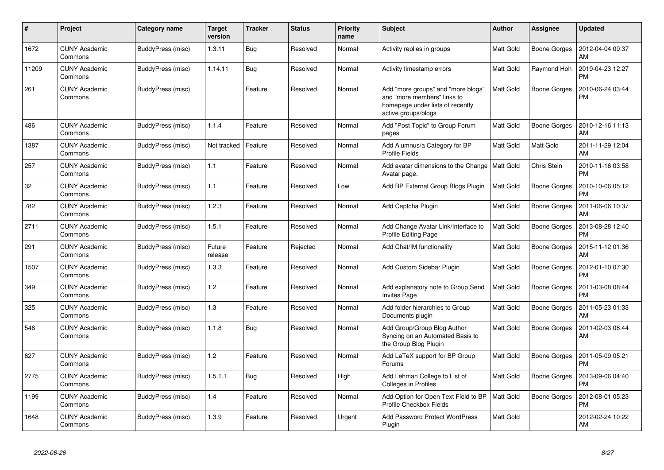| #     | Project                         | Category name            | Target<br>version | <b>Tracker</b> | <b>Status</b> | <b>Priority</b><br>name | <b>Subject</b>                                                                                                               | <b>Author</b>    | Assignee            | <b>Updated</b>                |
|-------|---------------------------------|--------------------------|-------------------|----------------|---------------|-------------------------|------------------------------------------------------------------------------------------------------------------------------|------------------|---------------------|-------------------------------|
| 1672  | <b>CUNY Academic</b><br>Commons | BuddyPress (misc)        | 1.3.11            | Bug            | Resolved      | Normal                  | Activity replies in groups                                                                                                   | <b>Matt Gold</b> | <b>Boone Gorges</b> | 2012-04-04 09:37<br>AM        |
| 11209 | <b>CUNY Academic</b><br>Commons | BuddyPress (misc)        | 1.14.11           | <b>Bug</b>     | Resolved      | Normal                  | Activity timestamp errors                                                                                                    | <b>Matt Gold</b> | Raymond Hoh         | 2019-04-23 12:27<br><b>PM</b> |
| 261   | <b>CUNY Academic</b><br>Commons | <b>BuddyPress (misc)</b> |                   | Feature        | Resolved      | Normal                  | Add "more groups" and "more blogs"<br>and "more members" links to<br>homepage under lists of recently<br>active groups/blogs | <b>Matt Gold</b> | <b>Boone Gorges</b> | 2010-06-24 03:44<br>PM        |
| 486   | <b>CUNY Academic</b><br>Commons | BuddyPress (misc)        | 1.1.4             | Feature        | Resolved      | Normal                  | Add "Post Topic" to Group Forum<br>pages                                                                                     | <b>Matt Gold</b> | Boone Gorges        | 2010-12-16 11:13<br>AM        |
| 1387  | <b>CUNY Academic</b><br>Commons | BuddyPress (misc)        | Not tracked       | Feature        | Resolved      | Normal                  | Add Alumnus/a Category for BP<br><b>Profile Fields</b>                                                                       | <b>Matt Gold</b> | <b>Matt Gold</b>    | 2011-11-29 12:04<br>AM        |
| 257   | <b>CUNY Academic</b><br>Commons | BuddyPress (misc)        | 1.1               | Feature        | Resolved      | Normal                  | Add avatar dimensions to the Change<br>Avatar page.                                                                          | <b>Matt Gold</b> | Chris Stein         | 2010-11-16 03:58<br><b>PM</b> |
| 32    | <b>CUNY Academic</b><br>Commons | BuddyPress (misc)        | 1.1               | Feature        | Resolved      | Low                     | Add BP External Group Blogs Plugin                                                                                           | Matt Gold        | Boone Gorges        | 2010-10-06 05:12<br><b>PM</b> |
| 782   | <b>CUNY Academic</b><br>Commons | BuddyPress (misc)        | 1.2.3             | Feature        | Resolved      | Normal                  | Add Captcha Plugin                                                                                                           | <b>Matt Gold</b> | <b>Boone Gorges</b> | 2011-06-06 10:37<br>AM        |
| 2711  | <b>CUNY Academic</b><br>Commons | BuddyPress (misc)        | 1.5.1             | Feature        | Resolved      | Normal                  | Add Change Avatar Link/Interface to<br><b>Profile Editing Page</b>                                                           | Matt Gold        | <b>Boone Gorges</b> | 2013-08-28 12:40<br><b>PM</b> |
| 291   | <b>CUNY Academic</b><br>Commons | BuddyPress (misc)        | Future<br>release | Feature        | Rejected      | Normal                  | Add Chat/IM functionality                                                                                                    | <b>Matt Gold</b> | Boone Gorges        | 2015-11-12 01:36<br>AM        |
| 1507  | <b>CUNY Academic</b><br>Commons | BuddyPress (misc)        | 1.3.3             | Feature        | Resolved      | Normal                  | Add Custom Sidebar Plugin                                                                                                    | <b>Matt Gold</b> | Boone Gorges        | 2012-01-10 07:30<br><b>PM</b> |
| 349   | <b>CUNY Academic</b><br>Commons | BuddyPress (misc)        | 1.2               | Feature        | Resolved      | Normal                  | Add explanatory note to Group Send<br><b>Invites Page</b>                                                                    | <b>Matt Gold</b> | <b>Boone Gorges</b> | 2011-03-08 08:44<br><b>PM</b> |
| 325   | <b>CUNY Academic</b><br>Commons | BuddyPress (misc)        | $1.3$             | Feature        | Resolved      | Normal                  | Add folder hierarchies to Group<br>Documents plugin                                                                          | <b>Matt Gold</b> | Boone Gorges        | 2011-05-23 01:33<br>AM        |
| 546   | <b>CUNY Academic</b><br>Commons | BuddyPress (misc)        | 1.1.8             | Bug            | Resolved      | Normal                  | Add Group/Group Blog Author<br>Syncing on an Automated Basis to<br>the Group Blog Plugin                                     | <b>Matt Gold</b> | Boone Gorges        | 2011-02-03 08:44<br>AM        |
| 627   | <b>CUNY Academic</b><br>Commons | BuddyPress (misc)        | 1.2               | Feature        | Resolved      | Normal                  | Add LaTeX support for BP Group<br>Forums                                                                                     | <b>Matt Gold</b> | Boone Gorges        | 2011-05-09 05:21<br><b>PM</b> |
| 2775  | <b>CUNY Academic</b><br>Commons | BuddyPress (misc)        | 1.5.1.1           | <b>Bug</b>     | Resolved      | High                    | Add Lehman College to List of<br>Colleges in Profiles                                                                        | <b>Matt Gold</b> | <b>Boone Gorges</b> | 2013-09-06 04:40<br><b>PM</b> |
| 1199  | <b>CUNY Academic</b><br>Commons | BuddyPress (misc)        | 1.4               | Feature        | Resolved      | Normal                  | Add Option for Open Text Field to BP<br>Profile Checkbox Fields                                                              | <b>Matt Gold</b> | <b>Boone Gorges</b> | 2012-08-01 05:23<br><b>PM</b> |
| 1648  | <b>CUNY Academic</b><br>Commons | BuddyPress (misc)        | 1.3.9             | Feature        | Resolved      | Urgent                  | Add Password Protect WordPress<br>Plugin                                                                                     | Matt Gold        |                     | 2012-02-24 10:22<br>AM        |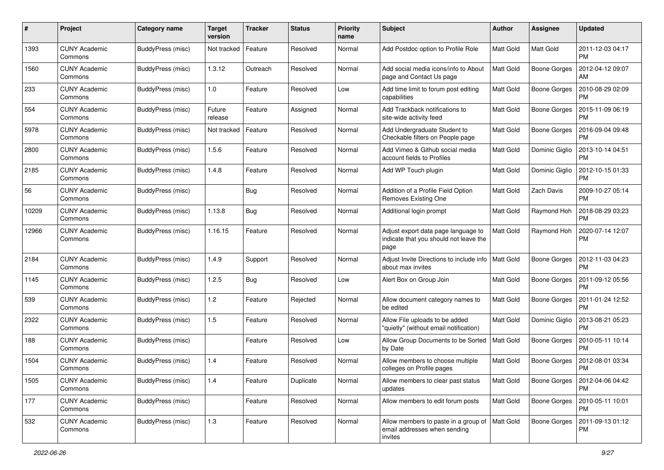| #     | Project                         | <b>Category name</b> | <b>Target</b><br>version | <b>Tracker</b> | <b>Status</b> | <b>Priority</b><br>name | <b>Subject</b>                                                                        | Author           | <b>Assignee</b>     | <b>Updated</b>                |
|-------|---------------------------------|----------------------|--------------------------|----------------|---------------|-------------------------|---------------------------------------------------------------------------------------|------------------|---------------------|-------------------------------|
| 1393  | <b>CUNY Academic</b><br>Commons | BuddyPress (misc)    | Not tracked              | Feature        | Resolved      | Normal                  | Add Postdoc option to Profile Role                                                    | <b>Matt Gold</b> | Matt Gold           | 2011-12-03 04:17<br><b>PM</b> |
| 1560  | <b>CUNY Academic</b><br>Commons | BuddyPress (misc)    | 1.3.12                   | Outreach       | Resolved      | Normal                  | Add social media icons/info to About<br>page and Contact Us page                      | <b>Matt Gold</b> | Boone Gorges        | 2012-04-12 09:07<br>AM        |
| 233   | <b>CUNY Academic</b><br>Commons | BuddyPress (misc)    | 1.0                      | Feature        | Resolved      | Low                     | Add time limit to forum post editing<br>capabilities                                  | Matt Gold        | <b>Boone Gorges</b> | 2010-08-29 02:09<br><b>PM</b> |
| 554   | <b>CUNY Academic</b><br>Commons | BuddyPress (misc)    | Future<br>release        | Feature        | Assigned      | Normal                  | Add Trackback notifications to<br>site-wide activity feed                             | <b>Matt Gold</b> | <b>Boone Gorges</b> | 2015-11-09 06:19<br><b>PM</b> |
| 5978  | <b>CUNY Academic</b><br>Commons | BuddyPress (misc)    | Not tracked              | Feature        | Resolved      | Normal                  | Add Undergraduate Student to<br>Checkable filters on People page                      | <b>Matt Gold</b> | <b>Boone Gorges</b> | 2016-09-04 09:48<br><b>PM</b> |
| 2800  | <b>CUNY Academic</b><br>Commons | BuddyPress (misc)    | 1.5.6                    | Feature        | Resolved      | Normal                  | Add Vimeo & Github social media<br>account fields to Profiles                         | <b>Matt Gold</b> | Dominic Giglio      | 2013-10-14 04:51<br><b>PM</b> |
| 2185  | <b>CUNY Academic</b><br>Commons | BuddyPress (misc)    | 1.4.8                    | Feature        | Resolved      | Normal                  | Add WP Touch plugin                                                                   | <b>Matt Gold</b> | Dominic Giglio      | 2012-10-15 01:33<br><b>PM</b> |
| 56    | <b>CUNY Academic</b><br>Commons | BuddyPress (misc)    |                          | Bug            | Resolved      | Normal                  | Addition of a Profile Field Option<br>Removes Existing One                            | <b>Matt Gold</b> | Zach Davis          | 2009-10-27 05:14<br><b>PM</b> |
| 10209 | <b>CUNY Academic</b><br>Commons | BuddyPress (misc)    | 1.13.8                   | Bug            | Resolved      | Normal                  | Additional login prompt                                                               | <b>Matt Gold</b> | Raymond Hoh         | 2018-08-29 03:23<br><b>PM</b> |
| 12966 | <b>CUNY Academic</b><br>Commons | BuddyPress (misc)    | 1.16.15                  | Feature        | Resolved      | Normal                  | Adjust export data page language to<br>indicate that you should not leave the<br>page | <b>Matt Gold</b> | Raymond Hoh         | 2020-07-14 12:07<br><b>PM</b> |
| 2184  | <b>CUNY Academic</b><br>Commons | BuddyPress (misc)    | 1.4.9                    | Support        | Resolved      | Normal                  | Adjust Invite Directions to include info<br>about max invites                         | <b>Matt Gold</b> | <b>Boone Gorges</b> | 2012-11-03 04:23<br><b>PM</b> |
| 1145  | <b>CUNY Academic</b><br>Commons | BuddyPress (misc)    | 1.2.5                    | Bug            | Resolved      | Low                     | Alert Box on Group Join                                                               | <b>Matt Gold</b> | <b>Boone Gorges</b> | 2011-09-12 05:56<br><b>PM</b> |
| 539   | <b>CUNY Academic</b><br>Commons | BuddyPress (misc)    | 1.2                      | Feature        | Rejected      | Normal                  | Allow document category names to<br>be edited                                         | <b>Matt Gold</b> | <b>Boone Gorges</b> | 2011-01-24 12:52<br><b>PM</b> |
| 2322  | <b>CUNY Academic</b><br>Commons | BuddyPress (misc)    | 1.5                      | Feature        | Resolved      | Normal                  | Allow File uploads to be added<br>"quietly" (without email notification)              | <b>Matt Gold</b> | Dominic Giglio      | 2013-08-21 05:23<br>PM        |
| 188   | <b>CUNY Academic</b><br>Commons | BuddyPress (misc)    |                          | Feature        | Resolved      | Low                     | Allow Group Documents to be Sorted<br>by Date                                         | <b>Matt Gold</b> | <b>Boone Gorges</b> | 2010-05-11 10:14<br><b>PM</b> |
| 1504  | <b>CUNY Academic</b><br>Commons | BuddyPress (misc)    | 1.4                      | Feature        | Resolved      | Normal                  | Allow members to choose multiple<br>colleges on Profile pages                         | <b>Matt Gold</b> | <b>Boone Gorges</b> | 2012-08-01 03:34<br><b>PM</b> |
| 1505  | <b>CUNY Academic</b><br>Commons | BuddyPress (misc)    | $1.4$                    | Feature        | Duplicate     | Normal                  | Allow members to clear past status<br>updates                                         | <b>Matt Gold</b> | Boone Gorges        | 2012-04-06 04:42<br>PM        |
| 177   | <b>CUNY Academic</b><br>Commons | BuddyPress (misc)    |                          | Feature        | Resolved      | Normal                  | Allow members to edit forum posts                                                     | Matt Gold        | Boone Gorges        | 2010-05-11 10:01<br>PM        |
| 532   | <b>CUNY Academic</b><br>Commons | BuddyPress (misc)    | 1.3                      | Feature        | Resolved      | Normal                  | Allow members to paste in a group of<br>email addresses when sending<br>invites       | Matt Gold        | Boone Gorges        | 2011-09-13 01:12<br>PM        |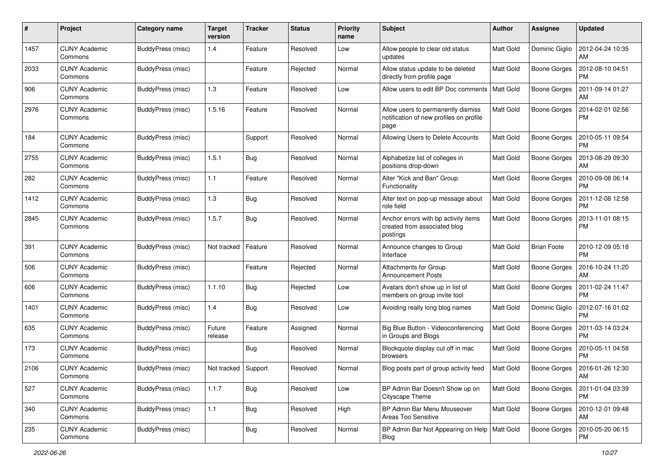| #    | Project                         | Category name            | <b>Target</b><br>version | <b>Tracker</b> | <b>Status</b> | <b>Priority</b><br>name | <b>Subject</b>                                                                        | Author           | <b>Assignee</b>     | <b>Updated</b>                |
|------|---------------------------------|--------------------------|--------------------------|----------------|---------------|-------------------------|---------------------------------------------------------------------------------------|------------------|---------------------|-------------------------------|
| 1457 | <b>CUNY Academic</b><br>Commons | BuddyPress (misc)        | 1.4                      | Feature        | Resolved      | Low                     | Allow people to clear old status<br>updates                                           | Matt Gold        | Dominic Giglio      | 2012-04-24 10:35<br>AM        |
| 2033 | <b>CUNY Academic</b><br>Commons | BuddyPress (misc)        |                          | Feature        | Rejected      | Normal                  | Allow status update to be deleted<br>directly from profile page                       | Matt Gold        | <b>Boone Gorges</b> | 2012-08-10 04:51<br><b>PM</b> |
| 906  | CUNY Academic<br>Commons        | BuddyPress (misc)        | 1.3                      | Feature        | Resolved      | Low                     | Allow users to edit BP Doc comments                                                   | <b>Matt Gold</b> | <b>Boone Gorges</b> | 2011-09-14 01:27<br>AM        |
| 2976 | <b>CUNY Academic</b><br>Commons | BuddyPress (misc)        | 1.5.16                   | Feature        | Resolved      | Normal                  | Allow users to permanently dismiss<br>notification of new profiles on profile<br>page | <b>Matt Gold</b> | <b>Boone Gorges</b> | 2014-02-01 02:56<br><b>PM</b> |
| 184  | <b>CUNY Academic</b><br>Commons | BuddyPress (misc)        |                          | Support        | Resolved      | Normal                  | Allowing Users to Delete Accounts                                                     | <b>Matt Gold</b> | <b>Boone Gorges</b> | 2010-05-11 09:54<br><b>PM</b> |
| 2755 | <b>CUNY Academic</b><br>Commons | BuddyPress (misc)        | 1.5.1                    | <b>Bug</b>     | Resolved      | Normal                  | Alphabetize list of colleges in<br>positions drop-down                                | <b>Matt Gold</b> | Boone Gorges        | 2013-08-29 09:30<br>AM        |
| 282  | <b>CUNY Academic</b><br>Commons | BuddyPress (misc)        | 1.1                      | Feature        | Resolved      | Normal                  | Alter "Kick and Ban" Group<br>Functionality                                           | <b>Matt Gold</b> | Boone Gorges        | 2010-09-08 06:14<br><b>PM</b> |
| 1412 | <b>CUNY Academic</b><br>Commons | BuddyPress (misc)        | 1.3                      | Bug            | Resolved      | Normal                  | Alter text on pop-up message about<br>role field                                      | <b>Matt Gold</b> | Boone Gorges        | 2011-12-08 12:58<br><b>PM</b> |
| 2845 | <b>CUNY Academic</b><br>Commons | BuddyPress (misc)        | 1.5.7                    | Bug            | Resolved      | Normal                  | Anchor errors with bp activity items<br>created from associated blog<br>postings      | Matt Gold        | <b>Boone Gorges</b> | 2013-11-01 08:15<br>PM        |
| 391  | <b>CUNY Academic</b><br>Commons | BuddyPress (misc)        | Not tracked              | Feature        | Resolved      | Normal                  | Announce changes to Group<br>Interface                                                | <b>Matt Gold</b> | <b>Brian Foote</b>  | 2010-12-09 05:18<br><b>PM</b> |
| 506  | <b>CUNY Academic</b><br>Commons | BuddyPress (misc)        |                          | Feature        | Rejected      | Normal                  | Attachments for Group<br><b>Announcement Posts</b>                                    | <b>Matt Gold</b> | Boone Gorges        | 2016-10-24 11:20<br>AM        |
| 606  | <b>CUNY Academic</b><br>Commons | BuddyPress (misc)        | 1.1.10                   | Bug            | Rejected      | Low                     | Avatars don't show up in list of<br>members on group invite tool                      | Matt Gold        | Boone Gorges        | 2011-02-24 11:47<br><b>PM</b> |
| 1401 | <b>CUNY Academic</b><br>Commons | BuddyPress (misc)        | 1.4                      | Bug            | Resolved      | Low                     | Avoiding really long blog names                                                       | <b>Matt Gold</b> | Dominic Giglio      | 2012-07-16 01:02<br><b>PM</b> |
| 635  | <b>CUNY Academic</b><br>Commons | BuddyPress (misc)        | Future<br>release        | Feature        | Assigned      | Normal                  | Big Blue Button - Videoconferencing<br>in Groups and Blogs                            | Matt Gold        | <b>Boone Gorges</b> | 2011-03-14 03:24<br><b>PM</b> |
| 173  | <b>CUNY Academic</b><br>Commons | BuddyPress (misc)        |                          | Bug            | Resolved      | Normal                  | Blockquote display cut off in mac<br>browsers                                         | Matt Gold        | Boone Gorges        | 2010-05-11 04:58<br><b>PM</b> |
| 2106 | <b>CUNY Academic</b><br>Commons | BuddyPress (misc)        | Not tracked              | Support        | Resolved      | Normal                  | Blog posts part of group activity feed                                                | Matt Gold        | Boone Gorges        | 2016-01-26 12:30<br>AM        |
| 527  | <b>CUNY Academic</b><br>Commons | BuddyPress (misc)        | 1.1.7                    | Bug            | Resolved      | Low                     | BP Admin Bar Doesn't Show up on<br>Cityscape Theme                                    | Matt Gold        | <b>Boone Gorges</b> | 2011-01-04 03:39<br><b>PM</b> |
| 340  | <b>CUNY Academic</b><br>Commons | BuddyPress (misc)        | 1.1                      | <b>Bug</b>     | Resolved      | High                    | BP Admin Bar Menu Mouseover<br>Areas Too Sensitive                                    | Matt Gold        | Boone Gorges        | 2010-12-01 09:48<br><b>AM</b> |
| 235  | <b>CUNY Academic</b><br>Commons | <b>BuddyPress (misc)</b> |                          | <b>Bug</b>     | Resolved      | Normal                  | BP Admin Bar Not Appearing on Help   Matt Gold<br>Blog                                |                  | Boone Gorges        | 2010-05-20 06:15<br>PM        |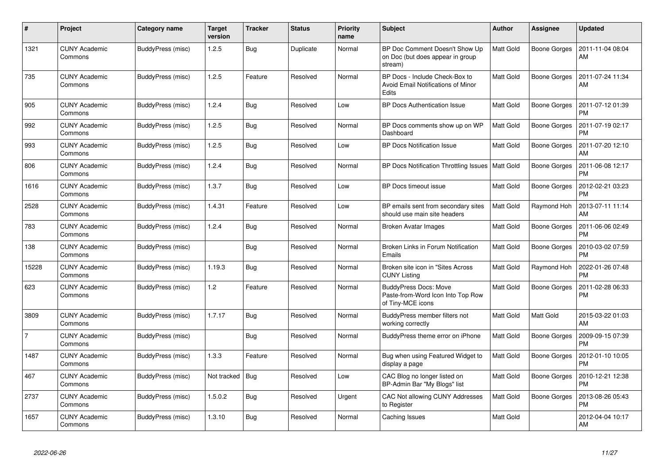| $\#$           | Project                         | Category name     | <b>Target</b><br>version | <b>Tracker</b> | <b>Status</b> | <b>Priority</b><br>name | <b>Subject</b>                                                                         | <b>Author</b>    | <b>Assignee</b>     | <b>Updated</b>                |
|----------------|---------------------------------|-------------------|--------------------------|----------------|---------------|-------------------------|----------------------------------------------------------------------------------------|------------------|---------------------|-------------------------------|
| 1321           | <b>CUNY Academic</b><br>Commons | BuddyPress (misc) | 1.2.5                    | <b>Bug</b>     | Duplicate     | Normal                  | BP Doc Comment Doesn't Show Up<br>on Doc (but does appear in group<br>stream)          | Matt Gold        | Boone Gorges        | 2011-11-04 08:04<br>AM        |
| 735            | <b>CUNY Academic</b><br>Commons | BuddyPress (misc) | 1.2.5                    | Feature        | Resolved      | Normal                  | BP Docs - Include Check-Box to<br>Avoid Email Notifications of Minor<br>Edits          | Matt Gold        | Boone Gorges        | 2011-07-24 11:34<br>AM        |
| 905            | <b>CUNY Academic</b><br>Commons | BuddyPress (misc) | 1.2.4                    | <b>Bug</b>     | Resolved      | Low                     | <b>BP Docs Authentication Issue</b>                                                    | Matt Gold        | <b>Boone Gorges</b> | 2011-07-12 01:39<br><b>PM</b> |
| 992            | <b>CUNY Academic</b><br>Commons | BuddyPress (misc) | 1.2.5                    | <b>Bug</b>     | Resolved      | Normal                  | BP Docs comments show up on WP<br>Dashboard                                            | Matt Gold        | <b>Boone Gorges</b> | 2011-07-19 02:17<br><b>PM</b> |
| 993            | <b>CUNY Academic</b><br>Commons | BuddyPress (misc) | 1.2.5                    | <b>Bug</b>     | Resolved      | Low                     | <b>BP Docs Notification Issue</b>                                                      | Matt Gold        | <b>Boone Gorges</b> | 2011-07-20 12:10<br>AM        |
| 806            | <b>CUNY Academic</b><br>Commons | BuddyPress (misc) | 1.2.4                    | <b>Bug</b>     | Resolved      | Normal                  | BP Docs Notification Throttling Issues                                                 | <b>Matt Gold</b> | <b>Boone Gorges</b> | 2011-06-08 12:17<br><b>PM</b> |
| 1616           | <b>CUNY Academic</b><br>Commons | BuddyPress (misc) | 1.3.7                    | Bug            | Resolved      | Low                     | BP Docs timeout issue                                                                  | Matt Gold        | Boone Gorges        | 2012-02-21 03:23<br><b>PM</b> |
| 2528           | <b>CUNY Academic</b><br>Commons | BuddyPress (misc) | 1.4.31                   | Feature        | Resolved      | Low                     | BP emails sent from secondary sites<br>should use main site headers                    | Matt Gold        | Raymond Hoh         | 2013-07-11 11:14<br>AM        |
| 783            | <b>CUNY Academic</b><br>Commons | BuddyPress (misc) | 1.2.4                    | Bug            | Resolved      | Normal                  | Broken Avatar Images                                                                   | Matt Gold        | <b>Boone Gorges</b> | 2011-06-06 02:49<br><b>PM</b> |
| 138            | CUNY Academic<br>Commons        | BuddyPress (misc) |                          | Bug            | Resolved      | Normal                  | Broken Links in Forum Notification<br>Emails                                           | Matt Gold        | Boone Gorges        | 2010-03-02 07:59<br><b>PM</b> |
| 15228          | <b>CUNY Academic</b><br>Commons | BuddyPress (misc) | 1.19.3                   | <b>Bug</b>     | Resolved      | Normal                  | Broken site icon in "Sites Across"<br><b>CUNY Listing</b>                              | Matt Gold        | Raymond Hoh         | 2022-01-26 07:48<br><b>PM</b> |
| 623            | <b>CUNY Academic</b><br>Commons | BuddyPress (misc) | 1.2                      | Feature        | Resolved      | Normal                  | <b>BuddyPress Docs: Move</b><br>Paste-from-Word Icon Into Top Row<br>of Tiny-MCE icons | Matt Gold        | <b>Boone Gorges</b> | 2011-02-28 06:33<br><b>PM</b> |
| 3809           | <b>CUNY Academic</b><br>Commons | BuddyPress (misc) | 1.7.17                   | <b>Bug</b>     | Resolved      | Normal                  | BuddyPress member filters not<br>working correctly                                     | Matt Gold        | Matt Gold           | 2015-03-22 01:03<br>AM        |
| $\overline{7}$ | <b>CUNY Academic</b><br>Commons | BuddyPress (misc) |                          | <b>Bug</b>     | Resolved      | Normal                  | BuddyPress theme error on iPhone                                                       | Matt Gold        | <b>Boone Gorges</b> | 2009-09-15 07:39<br><b>PM</b> |
| 1487           | <b>CUNY Academic</b><br>Commons | BuddyPress (misc) | 1.3.3                    | Feature        | Resolved      | Normal                  | Bug when using Featured Widget to<br>display a page                                    | Matt Gold        | Boone Gorges        | 2012-01-10 10:05<br><b>PM</b> |
| 467            | <b>CUNY Academic</b><br>Commons | BuddyPress (misc) | Not tracked              | Bug            | Resolved      | Low                     | CAC Blog no longer listed on<br>BP-Admin Bar "My Blogs" list                           | Matt Gold        | <b>Boone Gorges</b> | 2010-12-21 12:38<br><b>PM</b> |
| 2737           | <b>CUNY Academic</b><br>Commons | BuddyPress (misc) | 1.5.0.2                  | <b>Bug</b>     | Resolved      | Urgent                  | CAC Not allowing CUNY Addresses<br>to Register                                         | Matt Gold        | <b>Boone Gorges</b> | 2013-08-26 05:43<br><b>PM</b> |
| 1657           | <b>CUNY Academic</b><br>Commons | BuddyPress (misc) | 1.3.10                   | <b>Bug</b>     | Resolved      | Normal                  | Caching Issues                                                                         | Matt Gold        |                     | 2012-04-04 10:17<br>AM        |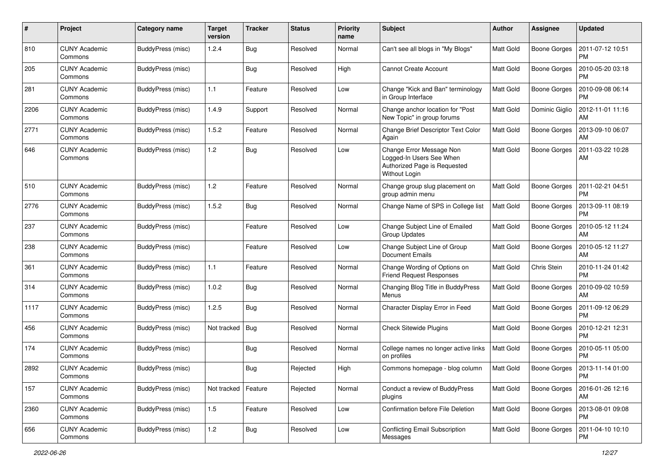| #    | Project                         | Category name     | <b>Target</b><br>version | <b>Tracker</b> | <b>Status</b> | <b>Priority</b><br>name | Subject                                                                                               | Author           | Assignee            | <b>Updated</b>                |
|------|---------------------------------|-------------------|--------------------------|----------------|---------------|-------------------------|-------------------------------------------------------------------------------------------------------|------------------|---------------------|-------------------------------|
| 810  | <b>CUNY Academic</b><br>Commons | BuddyPress (misc) | 1.2.4                    | Bug            | Resolved      | Normal                  | Can't see all blogs in "My Blogs"                                                                     | Matt Gold        | <b>Boone Gorges</b> | 2011-07-12 10:51<br><b>PM</b> |
| 205  | <b>CUNY Academic</b><br>Commons | BuddyPress (misc) |                          | Bug            | Resolved      | High                    | <b>Cannot Create Account</b>                                                                          | Matt Gold        | <b>Boone Gorges</b> | 2010-05-20 03:18<br><b>PM</b> |
| 281  | CUNY Academic<br>Commons        | BuddyPress (misc) | 1.1                      | Feature        | Resolved      | Low                     | Change "Kick and Ban" terminology<br>in Group Interface                                               | <b>Matt Gold</b> | <b>Boone Gorges</b> | 2010-09-08 06:14<br><b>PM</b> |
| 2206 | <b>CUNY Academic</b><br>Commons | BuddyPress (misc) | 1.4.9                    | Support        | Resolved      | Normal                  | Change anchor location for "Post<br>New Topic" in group forums                                        | Matt Gold        | Dominic Giglio      | 2012-11-01 11:16<br>AM        |
| 2771 | <b>CUNY Academic</b><br>Commons | BuddyPress (misc) | 1.5.2                    | Feature        | Resolved      | Normal                  | Change Brief Descriptor Text Color<br>Again                                                           | <b>Matt Gold</b> | <b>Boone Gorges</b> | 2013-09-10 06:07<br>AM        |
| 646  | <b>CUNY Academic</b><br>Commons | BuddyPress (misc) | $1.2$                    | Bug            | Resolved      | Low                     | Change Error Message Non<br>Logged-In Users See When<br>Authorized Page is Requested<br>Without Login | Matt Gold        | Boone Gorges        | 2011-03-22 10:28<br>AM        |
| 510  | <b>CUNY Academic</b><br>Commons | BuddyPress (misc) | 1.2                      | Feature        | Resolved      | Normal                  | Change group slug placement on<br>group admin menu                                                    | <b>Matt Gold</b> | <b>Boone Gorges</b> | 2011-02-21 04:51<br><b>PM</b> |
| 2776 | <b>CUNY Academic</b><br>Commons | BuddyPress (misc) | 1.5.2                    | Bug            | Resolved      | Normal                  | Change Name of SPS in College list                                                                    | Matt Gold        | <b>Boone Gorges</b> | 2013-09-11 08:19<br><b>PM</b> |
| 237  | CUNY Academic<br>Commons        | BuddyPress (misc) |                          | Feature        | Resolved      | Low                     | Change Subject Line of Emailed<br><b>Group Updates</b>                                                | Matt Gold        | <b>Boone Gorges</b> | 2010-05-12 11:24<br>AM        |
| 238  | <b>CUNY Academic</b><br>Commons | BuddyPress (misc) |                          | Feature        | Resolved      | Low                     | Change Subject Line of Group<br><b>Document Emails</b>                                                | <b>Matt Gold</b> | <b>Boone Gorges</b> | 2010-05-12 11:27<br>AM        |
| 361  | <b>CUNY Academic</b><br>Commons | BuddyPress (misc) | 1.1                      | Feature        | Resolved      | Normal                  | Change Wording of Options on<br><b>Friend Request Responses</b>                                       | <b>Matt Gold</b> | Chris Stein         | 2010-11-24 01:42<br><b>PM</b> |
| 314  | <b>CUNY Academic</b><br>Commons | BuddyPress (misc) | 1.0.2                    | Bug            | Resolved      | Normal                  | Changing Blog Title in BuddyPress<br>Menus                                                            | <b>Matt Gold</b> | <b>Boone Gorges</b> | 2010-09-02 10:59<br>AM        |
| 1117 | <b>CUNY Academic</b><br>Commons | BuddyPress (misc) | 1.2.5                    | Bug            | Resolved      | Normal                  | Character Display Error in Feed                                                                       | <b>Matt Gold</b> | <b>Boone Gorges</b> | 2011-09-12 06:29<br><b>PM</b> |
| 456  | <b>CUNY Academic</b><br>Commons | BuddyPress (misc) | Not tracked              | <b>Bug</b>     | Resolved      | Normal                  | <b>Check Sitewide Plugins</b>                                                                         | Matt Gold        | <b>Boone Gorges</b> | 2010-12-21 12:31<br><b>PM</b> |
| 174  | <b>CUNY Academic</b><br>Commons | BuddyPress (misc) |                          | Bug            | Resolved      | Normal                  | College names no longer active links<br>on profiles                                                   | Matt Gold        | <b>Boone Gorges</b> | 2010-05-11 05:00<br><b>PM</b> |
| 2892 | <b>CUNY Academic</b><br>Commons | BuddyPress (misc) |                          | Bug            | Rejected      | High                    | Commons homepage - blog column                                                                        | Matt Gold        | Boone Gorges        | 2013-11-14 01:00<br>PM        |
| 157  | <b>CUNY Academic</b><br>Commons | BuddyPress (misc) | Not tracked              | Feature        | Rejected      | Normal                  | Conduct a review of BuddyPress<br>plugins                                                             | Matt Gold        | Boone Gorges        | 2016-01-26 12:16<br>AM        |
| 2360 | <b>CUNY Academic</b><br>Commons | BuddyPress (misc) | 1.5                      | Feature        | Resolved      | Low                     | <b>Confirmation before File Deletion</b>                                                              | Matt Gold        | <b>Boone Gorges</b> | 2013-08-01 09:08<br><b>PM</b> |
| 656  | <b>CUNY Academic</b><br>Commons | BuddyPress (misc) | $1.2$                    | <b>Bug</b>     | Resolved      | Low                     | <b>Conflicting Email Subscription</b><br>Messages                                                     | Matt Gold        | Boone Gorges        | 2011-04-10 10:10<br>PM        |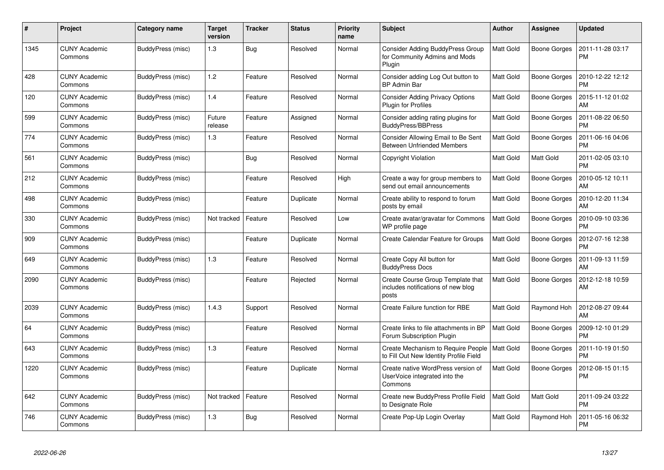| $\#$ | Project                         | Category name     | <b>Target</b><br>version | <b>Tracker</b> | <b>Status</b> | <b>Priority</b><br>name | <b>Subject</b>                                                                     | <b>Author</b>    | Assignee            | <b>Updated</b>                |
|------|---------------------------------|-------------------|--------------------------|----------------|---------------|-------------------------|------------------------------------------------------------------------------------|------------------|---------------------|-------------------------------|
| 1345 | <b>CUNY Academic</b><br>Commons | BuddyPress (misc) | 1.3                      | Bug            | Resolved      | Normal                  | <b>Consider Adding BuddyPress Group</b><br>for Community Admins and Mods<br>Plugin | Matt Gold        | Boone Gorges        | 2011-11-28 03:17<br><b>PM</b> |
| 428  | <b>CUNY Academic</b><br>Commons | BuddyPress (misc) | 1.2                      | Feature        | Resolved      | Normal                  | Consider adding Log Out button to<br><b>BP Admin Bar</b>                           | Matt Gold        | Boone Gorges        | 2010-12-22 12:12<br><b>PM</b> |
| 120  | <b>CUNY Academic</b><br>Commons | BuddyPress (misc) | 1.4                      | Feature        | Resolved      | Normal                  | <b>Consider Adding Privacy Options</b><br><b>Plugin for Profiles</b>               | Matt Gold        | <b>Boone Gorges</b> | 2015-11-12 01:02<br>AM        |
| 599  | <b>CUNY Academic</b><br>Commons | BuddyPress (misc) | Future<br>release        | Feature        | Assigned      | Normal                  | Consider adding rating plugins for<br><b>BuddyPress/BBPress</b>                    | Matt Gold        | <b>Boone Gorges</b> | 2011-08-22 06:50<br><b>PM</b> |
| 774  | <b>CUNY Academic</b><br>Commons | BuddyPress (misc) | 1.3                      | Feature        | Resolved      | Normal                  | Consider Allowing Email to Be Sent<br><b>Between Unfriended Members</b>            | Matt Gold        | Boone Gorges        | 2011-06-16 04:06<br><b>PM</b> |
| 561  | <b>CUNY Academic</b><br>Commons | BuddyPress (misc) |                          | Bug            | Resolved      | Normal                  | Copyright Violation                                                                | Matt Gold        | Matt Gold           | 2011-02-05 03:10<br><b>PM</b> |
| 212  | <b>CUNY Academic</b><br>Commons | BuddyPress (misc) |                          | Feature        | Resolved      | High                    | Create a way for group members to<br>send out email announcements                  | Matt Gold        | <b>Boone Gorges</b> | 2010-05-12 10:11<br>AM        |
| 498  | <b>CUNY Academic</b><br>Commons | BuddyPress (misc) |                          | Feature        | Duplicate     | Normal                  | Create ability to respond to forum<br>posts by email                               | Matt Gold        | <b>Boone Gorges</b> | 2010-12-20 11:34<br>AM        |
| 330  | <b>CUNY Academic</b><br>Commons | BuddyPress (misc) | Not tracked              | Feature        | Resolved      | Low                     | Create avatar/gravatar for Commons<br>WP profile page                              | Matt Gold        | Boone Gorges        | 2010-09-10 03:36<br><b>PM</b> |
| 909  | <b>CUNY Academic</b><br>Commons | BuddyPress (misc) |                          | Feature        | Duplicate     | Normal                  | Create Calendar Feature for Groups                                                 | Matt Gold        | <b>Boone Gorges</b> | 2012-07-16 12:38<br><b>PM</b> |
| 649  | <b>CUNY Academic</b><br>Commons | BuddyPress (misc) | 1.3                      | Feature        | Resolved      | Normal                  | Create Copy All button for<br><b>BuddyPress Docs</b>                               | Matt Gold        | <b>Boone Gorges</b> | 2011-09-13 11:59<br>AM        |
| 2090 | CUNY Academic<br>Commons        | BuddyPress (misc) |                          | Feature        | Rejected      | Normal                  | Create Course Group Template that<br>includes notifications of new blog<br>posts   | Matt Gold        | Boone Gorges        | 2012-12-18 10:59<br>AM        |
| 2039 | <b>CUNY Academic</b><br>Commons | BuddyPress (misc) | 1.4.3                    | Support        | Resolved      | Normal                  | Create Failure function for RBE                                                    | Matt Gold        | Raymond Hoh         | 2012-08-27 09:44<br>AM        |
| 64   | <b>CUNY Academic</b><br>Commons | BuddyPress (misc) |                          | Feature        | Resolved      | Normal                  | Create links to file attachments in BP<br>Forum Subscription Plugin                | Matt Gold        | Boone Gorges        | 2009-12-10 01:29<br><b>PM</b> |
| 643  | <b>CUNY Academic</b><br>Commons | BuddyPress (misc) | 1.3                      | Feature        | Resolved      | Normal                  | Create Mechanism to Require People<br>to Fill Out New Identity Profile Field       | <b>Matt Gold</b> | <b>Boone Gorges</b> | 2011-10-19 01:50<br><b>PM</b> |
| 1220 | <b>CUNY Academic</b><br>Commons | BuddyPress (misc) |                          | Feature        | Duplicate     | Normal                  | Create native WordPress version of<br>UserVoice integrated into the<br>Commons     | Matt Gold        | <b>Boone Gorges</b> | 2012-08-15 01:15<br><b>PM</b> |
| 642  | <b>CUNY Academic</b><br>Commons | BuddyPress (misc) | Not tracked              | Feature        | Resolved      | Normal                  | Create new BuddyPress Profile Field<br>to Designate Role                           | Matt Gold        | Matt Gold           | 2011-09-24 03:22<br><b>PM</b> |
| 746  | <b>CUNY Academic</b><br>Commons | BuddyPress (misc) | 1.3                      | Bug            | Resolved      | Normal                  | Create Pop-Up Login Overlay                                                        | Matt Gold        | Raymond Hoh         | 2011-05-16 06:32<br><b>PM</b> |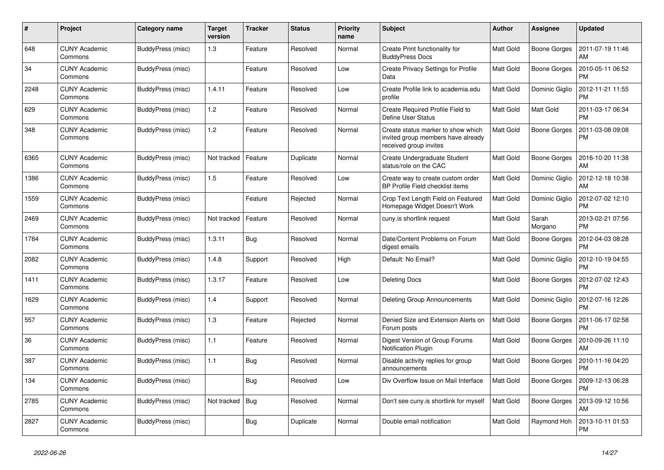| #    | Project                         | Category name     | <b>Target</b><br>version | <b>Tracker</b> | <b>Status</b> | <b>Priority</b><br>name | <b>Subject</b>                                                                                     | <b>Author</b>    | Assignee            | <b>Updated</b>                |
|------|---------------------------------|-------------------|--------------------------|----------------|---------------|-------------------------|----------------------------------------------------------------------------------------------------|------------------|---------------------|-------------------------------|
| 648  | <b>CUNY Academic</b><br>Commons | BuddyPress (misc) | 1.3                      | Feature        | Resolved      | Normal                  | Create Print functionality for<br><b>BuddyPress Docs</b>                                           | Matt Gold        | <b>Boone Gorges</b> | 2011-07-19 11:46<br>AM        |
| 34   | <b>CUNY Academic</b><br>Commons | BuddyPress (misc) |                          | Feature        | Resolved      | Low                     | <b>Create Privacy Settings for Profile</b><br>Data                                                 | <b>Matt Gold</b> | <b>Boone Gorges</b> | 2010-05-11 06:52<br><b>PM</b> |
| 2248 | <b>CUNY Academic</b><br>Commons | BuddyPress (misc) | 1.4.11                   | Feature        | Resolved      | Low                     | Create Profile link to academia.edu<br>profile                                                     | <b>Matt Gold</b> | Dominic Giglio      | 2012-11-21 11:55<br><b>PM</b> |
| 629  | <b>CUNY Academic</b><br>Commons | BuddyPress (misc) | 1.2                      | Feature        | Resolved      | Normal                  | Create Required Profile Field to<br>Define User Status                                             | <b>Matt Gold</b> | Matt Gold           | 2011-03-17 06:34<br><b>PM</b> |
| 348  | <b>CUNY Academic</b><br>Commons | BuddyPress (misc) | 1.2                      | Feature        | Resolved      | Normal                  | Create status marker to show which<br>invited group members have already<br>received group invites | <b>Matt Gold</b> | <b>Boone Gorges</b> | 2011-03-08 09:08<br>PM        |
| 6365 | <b>CUNY Academic</b><br>Commons | BuddyPress (misc) | Not tracked              | Feature        | Duplicate     | Normal                  | Create Undergraduate Student<br>status/role on the CAC                                             | <b>Matt Gold</b> | <b>Boone Gorges</b> | 2016-10-20 11:38<br>AM        |
| 1386 | <b>CUNY Academic</b><br>Commons | BuddyPress (misc) | 1.5                      | Feature        | Resolved      | Low                     | Create way to create custom order<br>BP Profile Field checklist items                              | <b>Matt Gold</b> | Dominic Giglio      | 2012-12-18 10:38<br>AM        |
| 1559 | <b>CUNY Academic</b><br>Commons | BuddyPress (misc) |                          | Feature        | Rejected      | Normal                  | Crop Text Length Field on Featured<br>Homepage Widget Doesn't Work                                 | <b>Matt Gold</b> | Dominic Giglio      | 2012-07-02 12:10<br><b>PM</b> |
| 2469 | <b>CUNY Academic</b><br>Commons | BuddyPress (misc) | Not tracked              | Feature        | Resolved      | Normal                  | cuny.is shortlink request                                                                          | <b>Matt Gold</b> | Sarah<br>Morgano    | 2013-02-21 07:56<br><b>PM</b> |
| 1784 | <b>CUNY Academic</b><br>Commons | BuddyPress (misc) | 1.3.11                   | <b>Bug</b>     | Resolved      | Normal                  | Date/Content Problems on Forum<br>digest emails                                                    | <b>Matt Gold</b> | <b>Boone Gorges</b> | 2012-04-03 08:28<br><b>PM</b> |
| 2082 | <b>CUNY Academic</b><br>Commons | BuddyPress (misc) | 1.4.8                    | Support        | Resolved      | High                    | Default: No Email?                                                                                 | Matt Gold        | Dominic Giglio      | 2012-10-19 04:55<br><b>PM</b> |
| 1411 | <b>CUNY Academic</b><br>Commons | BuddyPress (misc) | 1.3.17                   | Feature        | Resolved      | Low                     | <b>Deleting Docs</b>                                                                               | <b>Matt Gold</b> | <b>Boone Gorges</b> | 2012-07-02 12:43<br><b>PM</b> |
| 1629 | <b>CUNY Academic</b><br>Commons | BuddyPress (misc) | 1.4                      | Support        | Resolved      | Normal                  | <b>Deleting Group Announcements</b>                                                                | <b>Matt Gold</b> | Dominic Giglio      | 2012-07-16 12:26<br><b>PM</b> |
| 557  | CUNY Academic<br>Commons        | BuddyPress (misc) | 1.3                      | Feature        | Rejected      | Normal                  | Denied Size and Extension Alerts on<br>Forum posts                                                 | <b>Matt Gold</b> | Boone Gorges        | 2011-06-17 02:58<br><b>PM</b> |
| 36   | <b>CUNY Academic</b><br>Commons | BuddyPress (misc) | 1.1                      | Feature        | Resolved      | Normal                  | Digest Version of Group Forums<br><b>Notification Plugin</b>                                       | <b>Matt Gold</b> | <b>Boone Gorges</b> | 2010-09-26 11:10<br>AM        |
| 387  | <b>CUNY Academic</b><br>Commons | BuddyPress (misc) | 1.1                      | Bug            | Resolved      | Normal                  | Disable activity replies for group<br>announcements                                                | <b>Matt Gold</b> | <b>Boone Gorges</b> | 2010-11-16 04:20<br>PM        |
| 134  | <b>CUNY Academic</b><br>Commons | BuddyPress (misc) |                          | <b>Bug</b>     | Resolved      | Low                     | Div Overflow Issue on Mail Interface                                                               | <b>Matt Gold</b> | Boone Gorges        | 2009-12-13 06:28<br><b>PM</b> |
| 2785 | <b>CUNY Academic</b><br>Commons | BuddyPress (misc) | Not tracked              | <b>Bug</b>     | Resolved      | Normal                  | Don't see cuny is shortlink for myself                                                             | Matt Gold        | <b>Boone Gorges</b> | 2013-09-12 10:56<br>AM        |
| 2827 | <b>CUNY Academic</b><br>Commons | BuddyPress (misc) |                          | Bug            | Duplicate     | Normal                  | Double email notification                                                                          | <b>Matt Gold</b> | Raymond Hoh         | 2013-10-11 01:53<br>PM        |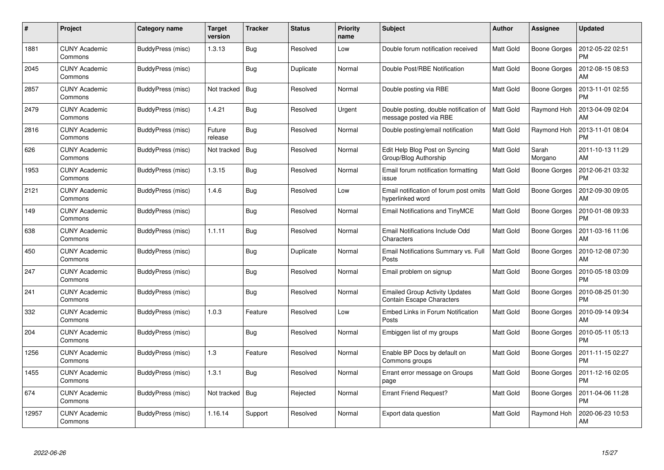| #     | Project                         | Category name     | Target<br>version | <b>Tracker</b> | <b>Status</b> | <b>Priority</b><br>name | <b>Subject</b>                                                            | Author           | <b>Assignee</b>     | <b>Updated</b>                |
|-------|---------------------------------|-------------------|-------------------|----------------|---------------|-------------------------|---------------------------------------------------------------------------|------------------|---------------------|-------------------------------|
| 1881  | <b>CUNY Academic</b><br>Commons | BuddyPress (misc) | 1.3.13            | Bug            | Resolved      | Low                     | Double forum notification received                                        | <b>Matt Gold</b> | <b>Boone Gorges</b> | 2012-05-22 02:51<br><b>PM</b> |
| 2045  | <b>CUNY Academic</b><br>Commons | BuddyPress (misc) |                   | Bug            | Duplicate     | Normal                  | Double Post/RBE Notification                                              | <b>Matt Gold</b> | Boone Gorges        | 2012-08-15 08:53<br>AM        |
| 2857  | <b>CUNY Academic</b><br>Commons | BuddyPress (misc) | Not tracked       | Bug            | Resolved      | Normal                  | Double posting via RBE                                                    | <b>Matt Gold</b> | Boone Gorges        | 2013-11-01 02:55<br><b>PM</b> |
| 2479  | <b>CUNY Academic</b><br>Commons | BuddyPress (misc) | 1.4.21            | <b>Bug</b>     | Resolved      | Urgent                  | Double posting, double notification of<br>message posted via RBE          | Matt Gold        | Raymond Hoh         | 2013-04-09 02:04<br>AM        |
| 2816  | <b>CUNY Academic</b><br>Commons | BuddyPress (misc) | Future<br>release | <b>Bug</b>     | Resolved      | Normal                  | Double posting/email notification                                         | <b>Matt Gold</b> | Raymond Hoh         | 2013-11-01 08:04<br><b>PM</b> |
| 626   | <b>CUNY Academic</b><br>Commons | BuddyPress (misc) | Not tracked       | Bug            | Resolved      | Normal                  | Edit Help Blog Post on Syncing<br>Group/Blog Authorship                   | Matt Gold        | Sarah<br>Morgano    | 2011-10-13 11:29<br>AM        |
| 1953  | <b>CUNY Academic</b><br>Commons | BuddyPress (misc) | 1.3.15            | Bug            | Resolved      | Normal                  | Email forum notification formatting<br>issue                              | <b>Matt Gold</b> | <b>Boone Gorges</b> | 2012-06-21 03:32<br><b>PM</b> |
| 2121  | <b>CUNY Academic</b><br>Commons | BuddyPress (misc) | 1.4.6             | Bug            | Resolved      | Low                     | Email notification of forum post omits<br>hyperlinked word                | Matt Gold        | Boone Gorges        | 2012-09-30 09:05<br>AM        |
| 149   | <b>CUNY Academic</b><br>Commons | BuddyPress (misc) |                   | <b>Bug</b>     | Resolved      | Normal                  | Email Notifications and TinyMCE                                           | <b>Matt Gold</b> | Boone Gorges        | 2010-01-08 09:33<br><b>PM</b> |
| 638   | <b>CUNY Academic</b><br>Commons | BuddyPress (misc) | 1.1.11            | <b>Bug</b>     | Resolved      | Normal                  | Email Notifications Include Odd<br>Characters                             | <b>Matt Gold</b> | <b>Boone Gorges</b> | 2011-03-16 11:06<br>AM        |
| 450   | <b>CUNY Academic</b><br>Commons | BuddyPress (misc) |                   | <b>Bug</b>     | Duplicate     | Normal                  | Email Notifications Summary vs. Full<br>Posts                             | <b>Matt Gold</b> | Boone Gorges        | 2010-12-08 07:30<br>AM        |
| 247   | <b>CUNY Academic</b><br>Commons | BuddyPress (misc) |                   | <b>Bug</b>     | Resolved      | Normal                  | Email problem on signup                                                   | Matt Gold        | Boone Gorges        | 2010-05-18 03:09<br><b>PM</b> |
| 241   | <b>CUNY Academic</b><br>Commons | BuddyPress (misc) |                   | <b>Bug</b>     | Resolved      | Normal                  | <b>Emailed Group Activity Updates</b><br><b>Contain Escape Characters</b> | <b>Matt Gold</b> | Boone Gorges        | 2010-08-25 01:30<br><b>PM</b> |
| 332   | <b>CUNY Academic</b><br>Commons | BuddyPress (misc) | 1.0.3             | Feature        | Resolved      | Low                     | Embed Links in Forum Notification<br>Posts                                | <b>Matt Gold</b> | <b>Boone Gorges</b> | 2010-09-14 09:34<br>AM        |
| 204   | <b>CUNY Academic</b><br>Commons | BuddyPress (misc) |                   | <b>Bug</b>     | Resolved      | Normal                  | Embiggen list of my groups                                                | <b>Matt Gold</b> | Boone Gorges        | 2010-05-11 05:13<br><b>PM</b> |
| 1256  | <b>CUNY Academic</b><br>Commons | BuddyPress (misc) | 1.3               | Feature        | Resolved      | Normal                  | Enable BP Docs by default on<br>Commons groups                            | <b>Matt Gold</b> | Boone Gorges        | 2011-11-15 02:27<br><b>PM</b> |
| 1455  | <b>CUNY Academic</b><br>Commons | BuddyPress (misc) | 1.3.1             | <b>Bug</b>     | Resolved      | Normal                  | Errant error message on Groups<br>page                                    | <b>Matt Gold</b> | <b>Boone Gorges</b> | 2011-12-16 02:05<br><b>PM</b> |
| 674   | <b>CUNY Academic</b><br>Commons | BuddyPress (misc) | Not tracked       | Bug            | Rejected      | Normal                  | <b>Errant Friend Request?</b>                                             | Matt Gold        | Boone Gorges        | 2011-04-06 11:28<br><b>PM</b> |
| 12957 | CUNY Academic<br>Commons        | BuddyPress (misc) | 1.16.14           | Support        | Resolved      | Normal                  | Export data question                                                      | <b>Matt Gold</b> | Raymond Hoh         | 2020-06-23 10:53<br>AM        |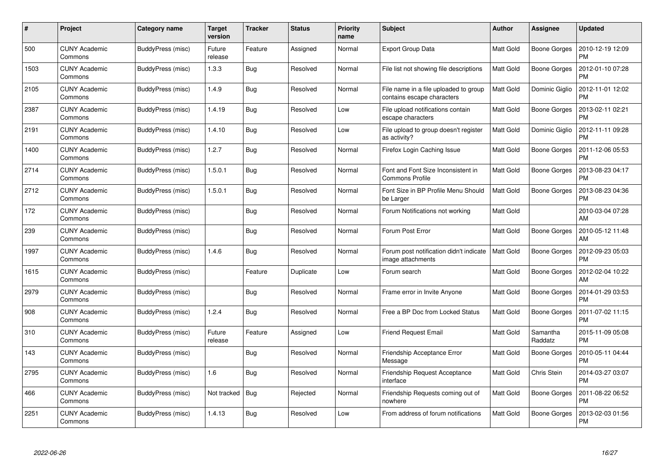| #    | Project                         | Category name     | <b>Target</b><br>version | <b>Tracker</b> | <b>Status</b> | <b>Priority</b><br>name | <b>Subject</b>                                                      | Author           | <b>Assignee</b>     | <b>Updated</b>                |
|------|---------------------------------|-------------------|--------------------------|----------------|---------------|-------------------------|---------------------------------------------------------------------|------------------|---------------------|-------------------------------|
| 500  | <b>CUNY Academic</b><br>Commons | BuddyPress (misc) | Future<br>release        | Feature        | Assigned      | Normal                  | <b>Export Group Data</b>                                            | <b>Matt Gold</b> | Boone Gorges        | 2010-12-19 12:09<br><b>PM</b> |
| 1503 | <b>CUNY Academic</b><br>Commons | BuddyPress (misc) | 1.3.3                    | Bug            | Resolved      | Normal                  | File list not showing file descriptions                             | Matt Gold        | Boone Gorges        | 2012-01-10 07:28<br><b>PM</b> |
| 2105 | <b>CUNY Academic</b><br>Commons | BuddyPress (misc) | 1.4.9                    | <b>Bug</b>     | Resolved      | Normal                  | File name in a file uploaded to group<br>contains escape characters | <b>Matt Gold</b> | Dominic Giglio      | 2012-11-01 12:02<br><b>PM</b> |
| 2387 | <b>CUNY Academic</b><br>Commons | BuddyPress (misc) | 1.4.19                   | <b>Bug</b>     | Resolved      | Low                     | File upload notifications contain<br>escape characters              | <b>Matt Gold</b> | Boone Gorges        | 2013-02-11 02:21<br><b>PM</b> |
| 2191 | <b>CUNY Academic</b><br>Commons | BuddyPress (misc) | 1.4.10                   | <b>Bug</b>     | Resolved      | Low                     | File upload to group doesn't register<br>as activity?               | <b>Matt Gold</b> | Dominic Giglio      | 2012-11-11 09:28<br><b>PM</b> |
| 1400 | <b>CUNY Academic</b><br>Commons | BuddyPress (misc) | 1.2.7                    | Bug            | Resolved      | Normal                  | Firefox Login Caching Issue                                         | <b>Matt Gold</b> | Boone Gorges        | 2011-12-06 05:53<br><b>PM</b> |
| 2714 | <b>CUNY Academic</b><br>Commons | BuddyPress (misc) | 1.5.0.1                  | Bug            | Resolved      | Normal                  | Font and Font Size Inconsistent in<br>Commons Profile               | Matt Gold        | <b>Boone Gorges</b> | 2013-08-23 04:17<br><b>PM</b> |
| 2712 | <b>CUNY Academic</b><br>Commons | BuddyPress (misc) | 1.5.0.1                  | Bug            | Resolved      | Normal                  | Font Size in BP Profile Menu Should<br>be Larger                    | <b>Matt Gold</b> | Boone Gorges        | 2013-08-23 04:36<br><b>PM</b> |
| 172  | <b>CUNY Academic</b><br>Commons | BuddyPress (misc) |                          | <b>Bug</b>     | Resolved      | Normal                  | Forum Notifications not working                                     | Matt Gold        |                     | 2010-03-04 07:28<br>AM        |
| 239  | <b>CUNY Academic</b><br>Commons | BuddyPress (misc) |                          | <b>Bug</b>     | Resolved      | Normal                  | Forum Post Error                                                    | <b>Matt Gold</b> | <b>Boone Gorges</b> | 2010-05-12 11:48<br>AM        |
| 1997 | <b>CUNY Academic</b><br>Commons | BuddyPress (misc) | 1.4.6                    | <b>Bug</b>     | Resolved      | Normal                  | Forum post notification didn't indicate<br>image attachments        | <b>Matt Gold</b> | Boone Gorges        | 2012-09-23 05:03<br><b>PM</b> |
| 1615 | <b>CUNY Academic</b><br>Commons | BuddyPress (misc) |                          | Feature        | Duplicate     | Low                     | Forum search                                                        | Matt Gold        | Boone Gorges        | 2012-02-04 10:22<br>AM        |
| 2979 | <b>CUNY Academic</b><br>Commons | BuddyPress (misc) |                          | Bug            | Resolved      | Normal                  | Frame error in Invite Anyone                                        | <b>Matt Gold</b> | Boone Gorges        | 2014-01-29 03:53<br><b>PM</b> |
| 908  | <b>CUNY Academic</b><br>Commons | BuddyPress (misc) | 1.2.4                    | Bug            | Resolved      | Normal                  | Free a BP Doc from Locked Status                                    | <b>Matt Gold</b> | <b>Boone Gorges</b> | 2011-07-02 11:15<br><b>PM</b> |
| 310  | <b>CUNY Academic</b><br>Commons | BuddyPress (misc) | Future<br>release        | Feature        | Assigned      | Low                     | <b>Friend Request Email</b>                                         | <b>Matt Gold</b> | Samantha<br>Raddatz | 2015-11-09 05:08<br><b>PM</b> |
| 143  | <b>CUNY Academic</b><br>Commons | BuddyPress (misc) |                          | <b>Bug</b>     | Resolved      | Normal                  | Friendship Acceptance Error<br>Message                              | <b>Matt Gold</b> | <b>Boone Gorges</b> | 2010-05-11 04:44<br><b>PM</b> |
| 2795 | <b>CUNY Academic</b><br>Commons | BuddyPress (misc) | 1.6                      | <b>Bug</b>     | Resolved      | Normal                  | <b>Friendship Request Acceptance</b><br>interface                   | <b>Matt Gold</b> | Chris Stein         | 2014-03-27 03:07<br><b>PM</b> |
| 466  | <b>CUNY Academic</b><br>Commons | BuddyPress (misc) | Not tracked              | Bug            | Rejected      | Normal                  | Friendship Requests coming out of<br>nowhere                        | Matt Gold        | <b>Boone Gorges</b> | 2011-08-22 06:52<br><b>PM</b> |
| 2251 | CUNY Academic<br>Commons        | BuddyPress (misc) | 1.4.13                   | <b>Bug</b>     | Resolved      | Low                     | From address of forum notifications                                 | <b>Matt Gold</b> | Boone Gorges        | 2013-02-03 01:56<br>PM        |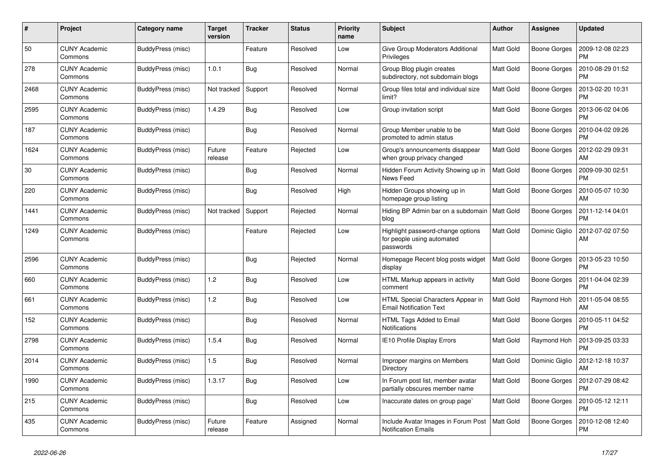| #    | Project                         | Category name     | Target<br>version | <b>Tracker</b> | <b>Status</b> | <b>Priority</b><br>name | <b>Subject</b>                                                               | Author           | <b>Assignee</b>     | <b>Updated</b>                |
|------|---------------------------------|-------------------|-------------------|----------------|---------------|-------------------------|------------------------------------------------------------------------------|------------------|---------------------|-------------------------------|
| 50   | <b>CUNY Academic</b><br>Commons | BuddyPress (misc) |                   | Feature        | Resolved      | Low                     | Give Group Moderators Additional<br>Privileges                               | <b>Matt Gold</b> | <b>Boone Gorges</b> | 2009-12-08 02:23<br><b>PM</b> |
| 278  | <b>CUNY Academic</b><br>Commons | BuddyPress (misc) | 1.0.1             | <b>Bug</b>     | Resolved      | Normal                  | Group Blog plugin creates<br>subdirectory, not subdomain blogs               | <b>Matt Gold</b> | <b>Boone Gorges</b> | 2010-08-29 01:52<br>PM        |
| 2468 | <b>CUNY Academic</b><br>Commons | BuddyPress (misc) | Not tracked       | Support        | Resolved      | Normal                  | Group files total and individual size<br>limit?                              | <b>Matt Gold</b> | Boone Gorges        | 2013-02-20 10:31<br><b>PM</b> |
| 2595 | <b>CUNY Academic</b><br>Commons | BuddyPress (misc) | 1.4.29            | Bug            | Resolved      | Low                     | Group invitation script                                                      | Matt Gold        | Boone Gorges        | 2013-06-02 04:06<br><b>PM</b> |
| 187  | <b>CUNY Academic</b><br>Commons | BuddyPress (misc) |                   | Bug            | Resolved      | Normal                  | Group Member unable to be<br>promoted to admin status                        | Matt Gold        | <b>Boone Gorges</b> | 2010-04-02 09:26<br><b>PM</b> |
| 1624 | <b>CUNY Academic</b><br>Commons | BuddyPress (misc) | Future<br>release | Feature        | Rejected      | Low                     | Group's announcements disappear<br>when group privacy changed                | <b>Matt Gold</b> | Boone Gorges        | 2012-02-29 09:31<br>AM        |
| 30   | <b>CUNY Academic</b><br>Commons | BuddyPress (misc) |                   | <b>Bug</b>     | Resolved      | Normal                  | Hidden Forum Activity Showing up in<br>News Feed                             | <b>Matt Gold</b> | Boone Gorges        | 2009-09-30 02:51<br>PM        |
| 220  | <b>CUNY Academic</b><br>Commons | BuddyPress (misc) |                   | Bug            | Resolved      | High                    | Hidden Groups showing up in<br>homepage group listing                        | Matt Gold        | Boone Gorges        | 2010-05-07 10:30<br>AM        |
| 1441 | <b>CUNY Academic</b><br>Commons | BuddyPress (misc) | Not tracked       | Support        | Rejected      | Normal                  | Hiding BP Admin bar on a subdomain<br>blog                                   | <b>Matt Gold</b> | Boone Gorges        | 2011-12-14 04:01<br><b>PM</b> |
| 1249 | <b>CUNY Academic</b><br>Commons | BuddyPress (misc) |                   | Feature        | Rejected      | Low                     | Highlight password-change options<br>for people using automated<br>passwords | <b>Matt Gold</b> | Dominic Giglio      | 2012-07-02 07:50<br>AM        |
| 2596 | <b>CUNY Academic</b><br>Commons | BuddyPress (misc) |                   | Bug            | Rejected      | Normal                  | Homepage Recent blog posts widget<br>display                                 | <b>Matt Gold</b> | Boone Gorges        | 2013-05-23 10:50<br><b>PM</b> |
| 660  | <b>CUNY Academic</b><br>Commons | BuddyPress (misc) | 1.2               | Bug            | Resolved      | Low                     | HTML Markup appears in activity<br>comment                                   | <b>Matt Gold</b> | <b>Boone Gorges</b> | 2011-04-04 02:39<br>PM        |
| 661  | <b>CUNY Academic</b><br>Commons | BuddyPress (misc) | 1.2               | Bug            | Resolved      | Low                     | HTML Special Characters Appear in<br><b>Email Notification Text</b>          | Matt Gold        | Raymond Hoh         | 2011-05-04 08:55<br>AM        |
| 152  | <b>CUNY Academic</b><br>Commons | BuddyPress (misc) |                   | Bug            | Resolved      | Normal                  | HTML Tags Added to Email<br><b>Notifications</b>                             | <b>Matt Gold</b> | Boone Gorges        | 2010-05-11 04:52<br><b>PM</b> |
| 2798 | <b>CUNY Academic</b><br>Commons | BuddyPress (misc) | 1.5.4             | <b>Bug</b>     | Resolved      | Normal                  | IE10 Profile Display Errors                                                  | <b>Matt Gold</b> | Raymond Hoh         | 2013-09-25 03:33<br><b>PM</b> |
| 2014 | <b>CUNY Academic</b><br>Commons | BuddyPress (misc) | 1.5               | <b>Bug</b>     | Resolved      | Normal                  | Improper margins on Members<br>Directory                                     | <b>Matt Gold</b> | Dominic Giglio      | 2012-12-18 10:37<br>AM        |
| 1990 | <b>CUNY Academic</b><br>Commons | BuddyPress (misc) | 1.3.17            | <b>Bug</b>     | Resolved      | Low                     | In Forum post list, member avatar<br>partially obscures member name          | <b>Matt Gold</b> | Boone Gorges        | 2012-07-29 08:42<br><b>PM</b> |
| 215  | <b>CUNY Academic</b><br>Commons | BuddyPress (misc) |                   | Bug            | Resolved      | Low                     | Inaccurate dates on group page`                                              | <b>Matt Gold</b> | Boone Gorges        | 2010-05-12 12:11<br><b>PM</b> |
| 435  | <b>CUNY Academic</b><br>Commons | BuddyPress (misc) | Future<br>release | Feature        | Assigned      | Normal                  | Include Avatar Images in Forum Post<br><b>Notification Emails</b>            | <b>Matt Gold</b> | <b>Boone Gorges</b> | 2010-12-08 12:40<br><b>PM</b> |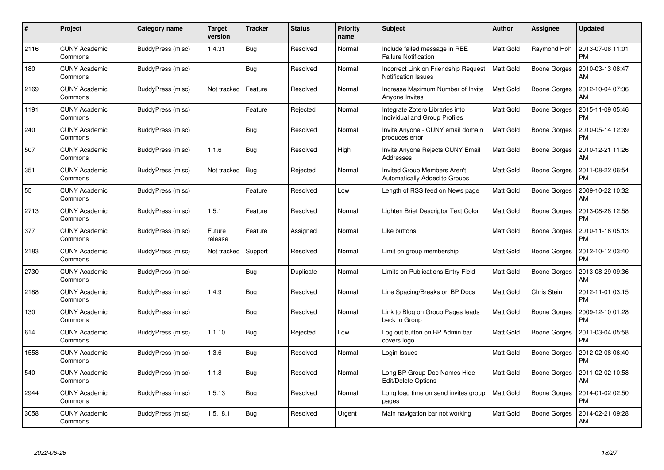| #    | Project                         | Category name     | Target<br>version | <b>Tracker</b> | <b>Status</b> | <b>Priority</b><br>name | <b>Subject</b>                                                          | Author           | Assignee            | <b>Updated</b>                |
|------|---------------------------------|-------------------|-------------------|----------------|---------------|-------------------------|-------------------------------------------------------------------------|------------------|---------------------|-------------------------------|
| 2116 | <b>CUNY Academic</b><br>Commons | BuddyPress (misc) | 1.4.31            | <b>Bug</b>     | Resolved      | Normal                  | Include failed message in RBE<br><b>Failure Notification</b>            | <b>Matt Gold</b> | Raymond Hoh         | 2013-07-08 11:01<br><b>PM</b> |
| 180  | <b>CUNY Academic</b><br>Commons | BuddyPress (misc) |                   | Bug            | Resolved      | Normal                  | Incorrect Link on Friendship Request<br><b>Notification Issues</b>      | <b>Matt Gold</b> | Boone Gorges        | 2010-03-13 08:47<br>AM        |
| 2169 | <b>CUNY Academic</b><br>Commons | BuddyPress (misc) | Not tracked       | Feature        | Resolved      | Normal                  | Increase Maximum Number of Invite<br>Anyone Invites                     | <b>Matt Gold</b> | <b>Boone Gorges</b> | 2012-10-04 07:36<br>AM        |
| 1191 | <b>CUNY Academic</b><br>Commons | BuddyPress (misc) |                   | Feature        | Rejected      | Normal                  | Integrate Zotero Libraries into<br><b>Individual and Group Profiles</b> | Matt Gold        | Boone Gorges        | 2015-11-09 05:46<br><b>PM</b> |
| 240  | <b>CUNY Academic</b><br>Commons | BuddyPress (misc) |                   | Bug            | Resolved      | Normal                  | Invite Anyone - CUNY email domain<br>produces error                     | <b>Matt Gold</b> | Boone Gorges        | 2010-05-14 12:39<br><b>PM</b> |
| 507  | <b>CUNY Academic</b><br>Commons | BuddyPress (misc) | 1.1.6             | Bug            | Resolved      | High                    | Invite Anyone Rejects CUNY Email<br>Addresses                           | <b>Matt Gold</b> | Boone Gorges        | 2010-12-21 11:26<br>AM        |
| 351  | <b>CUNY Academic</b><br>Commons | BuddyPress (misc) | Not tracked       | Bug            | Rejected      | Normal                  | Invited Group Members Aren't<br>Automatically Added to Groups           | <b>Matt Gold</b> | <b>Boone Gorges</b> | 2011-08-22 06:54<br><b>PM</b> |
| 55   | <b>CUNY Academic</b><br>Commons | BuddyPress (misc) |                   | Feature        | Resolved      | Low                     | Length of RSS feed on News page                                         | Matt Gold        | Boone Gorges        | 2009-10-22 10:32<br>AM        |
| 2713 | <b>CUNY Academic</b><br>Commons | BuddyPress (misc) | 1.5.1             | Feature        | Resolved      | Normal                  | Lighten Brief Descriptor Text Color                                     | Matt Gold        | <b>Boone Gorges</b> | 2013-08-28 12:58<br><b>PM</b> |
| 377  | <b>CUNY Academic</b><br>Commons | BuddyPress (misc) | Future<br>release | Feature        | Assigned      | Normal                  | Like buttons                                                            | Matt Gold        | Boone Gorges        | 2010-11-16 05:13<br><b>PM</b> |
| 2183 | <b>CUNY Academic</b><br>Commons | BuddyPress (misc) | Not tracked       | Support        | Resolved      | Normal                  | Limit on group membership                                               | <b>Matt Gold</b> | <b>Boone Gorges</b> | 2012-10-12 03:40<br><b>PM</b> |
| 2730 | <b>CUNY Academic</b><br>Commons | BuddyPress (misc) |                   | <b>Bug</b>     | Duplicate     | Normal                  | Limits on Publications Entry Field                                      | <b>Matt Gold</b> | <b>Boone Gorges</b> | 2013-08-29 09:36<br>AM        |
| 2188 | <b>CUNY Academic</b><br>Commons | BuddyPress (misc) | 1.4.9             | <b>Bug</b>     | Resolved      | Normal                  | Line Spacing/Breaks on BP Docs                                          | <b>Matt Gold</b> | Chris Stein         | 2012-11-01 03:15<br><b>PM</b> |
| 130  | <b>CUNY Academic</b><br>Commons | BuddyPress (misc) |                   | <b>Bug</b>     | Resolved      | Normal                  | Link to Blog on Group Pages leads<br>back to Group                      | <b>Matt Gold</b> | Boone Gorges        | 2009-12-10 01:28<br><b>PM</b> |
| 614  | <b>CUNY Academic</b><br>Commons | BuddyPress (misc) | 1.1.10            | <b>Bug</b>     | Rejected      | Low                     | Log out button on BP Admin bar<br>covers logo                           | <b>Matt Gold</b> | Boone Gorges        | 2011-03-04 05:58<br><b>PM</b> |
| 1558 | <b>CUNY Academic</b><br>Commons | BuddyPress (misc) | 1.3.6             | Bug            | Resolved      | Normal                  | Login Issues                                                            | <b>Matt Gold</b> | Boone Gorges        | 2012-02-08 06:40<br><b>PM</b> |
| 540  | <b>CUNY Academic</b><br>Commons | BuddyPress (misc) | 1.1.8             | Bug            | Resolved      | Normal                  | Long BP Group Doc Names Hide<br>Edit/Delete Options                     | <b>Matt Gold</b> | Boone Gorges        | 2011-02-02 10:58<br>AM        |
| 2944 | <b>CUNY Academic</b><br>Commons | BuddyPress (misc) | 1.5.13            | <b>Bug</b>     | Resolved      | Normal                  | Long load time on send invites group<br>pages                           | Matt Gold        | Boone Gorges        | 2014-01-02 02:50<br><b>PM</b> |
| 3058 | CUNY Academic<br>Commons        | BuddyPress (misc) | 1.5.18.1          | <b>Bug</b>     | Resolved      | Urgent                  | Main navigation bar not working                                         | <b>Matt Gold</b> | Boone Gorges        | 2014-02-21 09:28<br>AM        |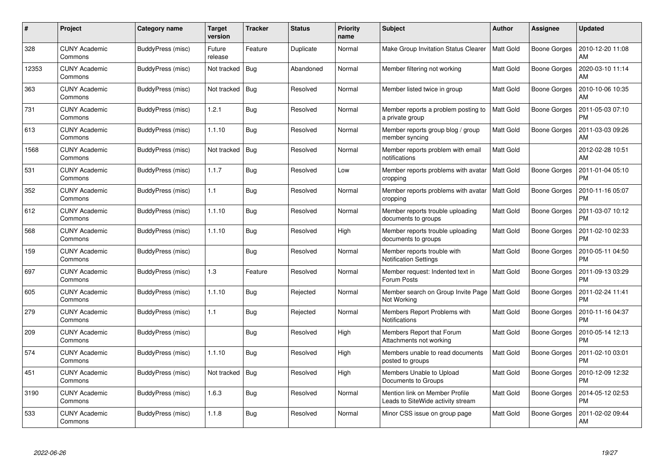| #     | Project                         | Category name     | Target<br>version | <b>Tracker</b> | <b>Status</b> | <b>Priority</b><br>name | <b>Subject</b>                                                      | Author           | <b>Assignee</b>     | <b>Updated</b>                |
|-------|---------------------------------|-------------------|-------------------|----------------|---------------|-------------------------|---------------------------------------------------------------------|------------------|---------------------|-------------------------------|
| 328   | <b>CUNY Academic</b><br>Commons | BuddyPress (misc) | Future<br>release | Feature        | Duplicate     | Normal                  | Make Group Invitation Status Clearer                                | <b>Matt Gold</b> | <b>Boone Gorges</b> | 2010-12-20 11:08<br>AM        |
| 12353 | <b>CUNY Academic</b><br>Commons | BuddyPress (misc) | Not tracked       | <b>Bug</b>     | Abandoned     | Normal                  | Member filtering not working                                        | <b>Matt Gold</b> | <b>Boone Gorges</b> | 2020-03-10 11:14<br>AM        |
| 363   | <b>CUNY Academic</b><br>Commons | BuddyPress (misc) | Not tracked       | <b>Bug</b>     | Resolved      | Normal                  | Member listed twice in group                                        | <b>Matt Gold</b> | <b>Boone Gorges</b> | 2010-10-06 10:35<br>AM        |
| 731   | <b>CUNY Academic</b><br>Commons | BuddyPress (misc) | 1.2.1             | Bug            | Resolved      | Normal                  | Member reports a problem posting to<br>a private group              | <b>Matt Gold</b> | Boone Gorges        | 2011-05-03 07:10<br><b>PM</b> |
| 613   | <b>CUNY Academic</b><br>Commons | BuddyPress (misc) | 1.1.10            | Bug            | Resolved      | Normal                  | Member reports group blog / group<br>member syncing                 | <b>Matt Gold</b> | <b>Boone Gorges</b> | 2011-03-03 09:26<br>AM        |
| 1568  | <b>CUNY Academic</b><br>Commons | BuddyPress (misc) | Not tracked       | Bug            | Resolved      | Normal                  | Member reports problem with email<br>notifications                  | Matt Gold        |                     | 2012-02-28 10:51<br>AM        |
| 531   | <b>CUNY Academic</b><br>Commons | BuddyPress (misc) | 1.1.7             | Bug            | Resolved      | Low                     | Member reports problems with avatar<br>cropping                     | <b>Matt Gold</b> | Boone Gorges        | 2011-01-04 05:10<br><b>PM</b> |
| 352   | <b>CUNY Academic</b><br>Commons | BuddyPress (misc) | 1.1               | Bug            | Resolved      | Normal                  | Member reports problems with avatar<br>cropping                     | <b>Matt Gold</b> | Boone Gorges        | 2010-11-16 05:07<br><b>PM</b> |
| 612   | <b>CUNY Academic</b><br>Commons | BuddyPress (misc) | 1.1.10            | Bug            | Resolved      | Normal                  | Member reports trouble uploading<br>documents to groups             | <b>Matt Gold</b> | <b>Boone Gorges</b> | 2011-03-07 10:12<br><b>PM</b> |
| 568   | <b>CUNY Academic</b><br>Commons | BuddyPress (misc) | 1.1.10            | <b>Bug</b>     | Resolved      | High                    | Member reports trouble uploading<br>documents to groups             | <b>Matt Gold</b> | <b>Boone Gorges</b> | 2011-02-10 02:33<br>PM        |
| 159   | <b>CUNY Academic</b><br>Commons | BuddyPress (misc) |                   | <b>Bug</b>     | Resolved      | Normal                  | Member reports trouble with<br><b>Notification Settings</b>         | <b>Matt Gold</b> | <b>Boone Gorges</b> | 2010-05-11 04:50<br><b>PM</b> |
| 697   | <b>CUNY Academic</b><br>Commons | BuddyPress (misc) | 1.3               | Feature        | Resolved      | Normal                  | Member request: Indented text in<br>Forum Posts                     | <b>Matt Gold</b> | Boone Gorges        | 2011-09-13 03:29<br><b>PM</b> |
| 605   | <b>CUNY Academic</b><br>Commons | BuddyPress (misc) | 1.1.10            | Bug            | Rejected      | Normal                  | Member search on Group Invite Page<br>Not Working                   | <b>Matt Gold</b> | <b>Boone Gorges</b> | 2011-02-24 11:41<br><b>PM</b> |
| 279   | <b>CUNY Academic</b><br>Commons | BuddyPress (misc) | 1.1               | <b>Bug</b>     | Rejected      | Normal                  | Members Report Problems with<br>Notifications                       | <b>Matt Gold</b> | <b>Boone Gorges</b> | 2010-11-16 04:37<br>PM        |
| 209   | <b>CUNY Academic</b><br>Commons | BuddyPress (misc) |                   | Bug            | Resolved      | High                    | Members Report that Forum<br>Attachments not working                | <b>Matt Gold</b> | Boone Gorges        | 2010-05-14 12:13<br><b>PM</b> |
| 574   | <b>CUNY Academic</b><br>Commons | BuddyPress (misc) | 1.1.10            | Bug            | Resolved      | High                    | Members unable to read documents<br>posted to groups                | <b>Matt Gold</b> | Boone Gorges        | 2011-02-10 03:01<br><b>PM</b> |
| 451   | <b>CUNY Academic</b><br>Commons | BuddyPress (misc) | Not tracked       | Bug            | Resolved      | High                    | Members Unable to Upload<br>Documents to Groups                     | <b>Matt Gold</b> | <b>Boone Gorges</b> | 2010-12-09 12:32<br>PM        |
| 3190  | <b>CUNY Academic</b><br>Commons | BuddyPress (misc) | 1.6.3             | <b>Bug</b>     | Resolved      | Normal                  | Mention link on Member Profile<br>Leads to SiteWide activity stream | <b>Matt Gold</b> | Boone Gorges        | 2014-05-12 02:53<br>PM        |
| 533   | <b>CUNY Academic</b><br>Commons | BuddyPress (misc) | 1.1.8             | Bug            | Resolved      | Normal                  | Minor CSS issue on group page                                       | <b>Matt Gold</b> | Boone Gorges        | 2011-02-02 09:44<br>AM        |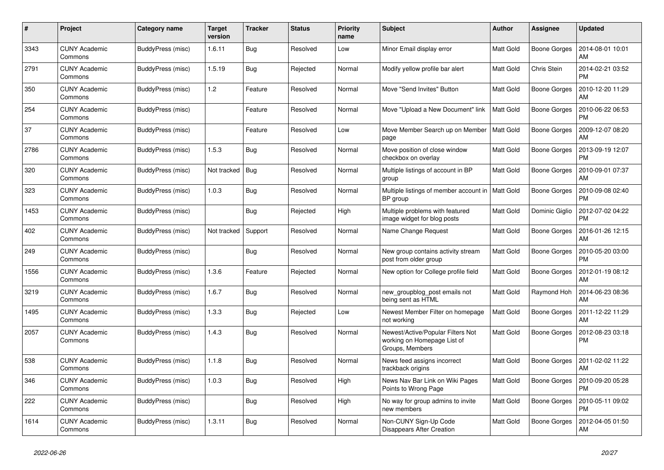| #    | Project                         | Category name     | <b>Target</b><br>version | <b>Tracker</b> | <b>Status</b> | <b>Priority</b><br>name | <b>Subject</b>                                                                      | <b>Author</b>    | Assignee            | <b>Updated</b>                |
|------|---------------------------------|-------------------|--------------------------|----------------|---------------|-------------------------|-------------------------------------------------------------------------------------|------------------|---------------------|-------------------------------|
| 3343 | <b>CUNY Academic</b><br>Commons | BuddyPress (misc) | 1.6.11                   | <b>Bug</b>     | Resolved      | Low                     | Minor Email display error                                                           | <b>Matt Gold</b> | Boone Gorges        | 2014-08-01 10:01<br>AM        |
| 2791 | <b>CUNY Academic</b><br>Commons | BuddyPress (misc) | 1.5.19                   | Bug            | Rejected      | Normal                  | Modify yellow profile bar alert                                                     | <b>Matt Gold</b> | Chris Stein         | 2014-02-21 03:52<br>PM        |
| 350  | <b>CUNY Academic</b><br>Commons | BuddyPress (misc) | 1.2                      | Feature        | Resolved      | Normal                  | Move "Send Invites" Button                                                          | Matt Gold        | Boone Gorges        | 2010-12-20 11:29<br>AM        |
| 254  | <b>CUNY Academic</b><br>Commons | BuddyPress (misc) |                          | Feature        | Resolved      | Normal                  | Move "Upload a New Document" link                                                   | <b>Matt Gold</b> | Boone Gorges        | 2010-06-22 06:53<br><b>PM</b> |
| 37   | <b>CUNY Academic</b><br>Commons | BuddyPress (misc) |                          | Feature        | Resolved      | Low                     | Move Member Search up on Member<br>page                                             | Matt Gold        | Boone Gorges        | 2009-12-07 08:20<br>AM        |
| 2786 | <b>CUNY Academic</b><br>Commons | BuddyPress (misc) | 1.5.3                    | Bug            | Resolved      | Normal                  | Move position of close window<br>checkbox on overlay                                | <b>Matt Gold</b> | Boone Gorges        | 2013-09-19 12:07<br><b>PM</b> |
| 320  | <b>CUNY Academic</b><br>Commons | BuddyPress (misc) | Not tracked              | <b>Bug</b>     | Resolved      | Normal                  | Multiple listings of account in BP<br>group                                         | <b>Matt Gold</b> | Boone Gorges        | 2010-09-01 07:37<br>AM        |
| 323  | <b>CUNY Academic</b><br>Commons | BuddyPress (misc) | 1.0.3                    | <b>Bug</b>     | Resolved      | Normal                  | Multiple listings of member account in<br>BP group                                  | <b>Matt Gold</b> | Boone Gorges        | 2010-09-08 02:40<br>PM        |
| 1453 | <b>CUNY Academic</b><br>Commons | BuddyPress (misc) |                          | <b>Bug</b>     | Rejected      | High                    | Multiple problems with featured<br>image widget for blog posts                      | <b>Matt Gold</b> | Dominic Giglio      | 2012-07-02 04:22<br><b>PM</b> |
| 402  | <b>CUNY Academic</b><br>Commons | BuddyPress (misc) | Not tracked              | Support        | Resolved      | Normal                  | Name Change Request                                                                 | <b>Matt Gold</b> | Boone Gorges        | 2016-01-26 12:15<br>AM        |
| 249  | <b>CUNY Academic</b><br>Commons | BuddyPress (misc) |                          | <b>Bug</b>     | Resolved      | Normal                  | New group contains activity stream<br>post from older group                         | Matt Gold        | Boone Gorges        | 2010-05-20 03:00<br><b>PM</b> |
| 1556 | <b>CUNY Academic</b><br>Commons | BuddyPress (misc) | 1.3.6                    | Feature        | Rejected      | Normal                  | New option for College profile field                                                | <b>Matt Gold</b> | <b>Boone Gorges</b> | 2012-01-19 08:12<br>AM        |
| 3219 | <b>CUNY Academic</b><br>Commons | BuddyPress (misc) | 1.6.7                    | Bug            | Resolved      | Normal                  | new_groupblog_post emails not<br>being sent as HTML                                 | Matt Gold        | Raymond Hoh         | 2014-06-23 08:36<br>AM        |
| 1495 | <b>CUNY Academic</b><br>Commons | BuddyPress (misc) | 1.3.3                    | <b>Bug</b>     | Rejected      | Low                     | Newest Member Filter on homepage<br>not working                                     | Matt Gold        | Boone Gorges        | 2011-12-22 11:29<br>AM        |
| 2057 | <b>CUNY Academic</b><br>Commons | BuddyPress (misc) | 1.4.3                    | Bug            | Resolved      | Normal                  | Newest/Active/Popular Filters Not<br>working on Homepage List of<br>Groups, Members | <b>Matt Gold</b> | Boone Gorges        | 2012-08-23 03:18<br><b>PM</b> |
| 538  | <b>CUNY Academic</b><br>Commons | BuddyPress (misc) | 1.1.8                    | Bug            | Resolved      | Normal                  | News feed assigns incorrect<br>trackback origins                                    | <b>Matt Gold</b> | Boone Gorges        | 2011-02-02 11:22<br>AM        |
| 346  | <b>CUNY Academic</b><br>Commons | BuddyPress (misc) | 1.0.3                    | <b>Bug</b>     | Resolved      | High                    | News Nav Bar Link on Wiki Pages<br>Points to Wrong Page                             | Matt Gold        | Boone Gorges        | 2010-09-20 05:28<br><b>PM</b> |
| 222  | <b>CUNY Academic</b><br>Commons | BuddyPress (misc) |                          | Bug            | Resolved      | High                    | No way for group admins to invite<br>new members                                    | <b>Matt Gold</b> | Boone Gorges        | 2010-05-11 09:02<br><b>PM</b> |
| 1614 | <b>CUNY Academic</b><br>Commons | BuddyPress (misc) | 1.3.11                   | Bug            | Resolved      | Normal                  | Non-CUNY Sign-Up Code<br><b>Disappears After Creation</b>                           | Matt Gold        | Boone Gorges        | 2012-04-05 01:50<br>AM        |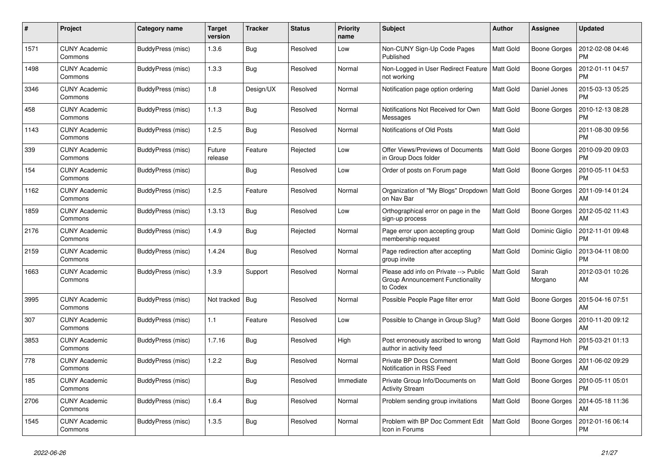| #    | Project                         | Category name     | Target<br>version | <b>Tracker</b> | <b>Status</b> | <b>Priority</b><br>name | <b>Subject</b>                                                                        | <b>Author</b>    | <b>Assignee</b>     | <b>Updated</b>                |
|------|---------------------------------|-------------------|-------------------|----------------|---------------|-------------------------|---------------------------------------------------------------------------------------|------------------|---------------------|-------------------------------|
| 1571 | <b>CUNY Academic</b><br>Commons | BuddyPress (misc) | 1.3.6             | <b>Bug</b>     | Resolved      | Low                     | Non-CUNY Sign-Up Code Pages<br>Published                                              | <b>Matt Gold</b> | <b>Boone Gorges</b> | 2012-02-08 04:46<br><b>PM</b> |
| 1498 | <b>CUNY Academic</b><br>Commons | BuddyPress (misc) | 1.3.3             | Bug            | Resolved      | Normal                  | Non-Logged in User Redirect Feature<br>not working                                    | <b>Matt Gold</b> | <b>Boone Gorges</b> | 2012-01-11 04:57<br><b>PM</b> |
| 3346 | <b>CUNY Academic</b><br>Commons | BuddyPress (misc) | 1.8               | Design/UX      | Resolved      | Normal                  | Notification page option ordering                                                     | Matt Gold        | Daniel Jones        | 2015-03-13 05:25<br><b>PM</b> |
| 458  | <b>CUNY Academic</b><br>Commons | BuddyPress (misc) | 1.1.3             | Bug            | Resolved      | Normal                  | Notifications Not Received for Own<br>Messages                                        | <b>Matt Gold</b> | Boone Gorges        | 2010-12-13 08:28<br><b>PM</b> |
| 1143 | <b>CUNY Academic</b><br>Commons | BuddyPress (misc) | 1.2.5             | <b>Bug</b>     | Resolved      | Normal                  | Notifications of Old Posts                                                            | Matt Gold        |                     | 2011-08-30 09:56<br><b>PM</b> |
| 339  | <b>CUNY Academic</b><br>Commons | BuddyPress (misc) | Future<br>release | Feature        | Rejected      | Low                     | Offer Views/Previews of Documents<br>in Group Docs folder                             | <b>Matt Gold</b> | Boone Gorges        | 2010-09-20 09:03<br><b>PM</b> |
| 154  | <b>CUNY Academic</b><br>Commons | BuddyPress (misc) |                   | <b>Bug</b>     | Resolved      | Low                     | Order of posts on Forum page                                                          | <b>Matt Gold</b> | Boone Gorges        | 2010-05-11 04:53<br><b>PM</b> |
| 1162 | <b>CUNY Academic</b><br>Commons | BuddyPress (misc) | 1.2.5             | Feature        | Resolved      | Normal                  | Organization of "My Blogs" Dropdown<br>on Nav Bar                                     | <b>Matt Gold</b> | <b>Boone Gorges</b> | 2011-09-14 01:24<br>AM        |
| 1859 | <b>CUNY Academic</b><br>Commons | BuddyPress (misc) | 1.3.13            | <b>Bug</b>     | Resolved      | Low                     | Orthographical error on page in the<br>sign-up process                                | Matt Gold        | <b>Boone Gorges</b> | 2012-05-02 11:43<br>AM        |
| 2176 | <b>CUNY Academic</b><br>Commons | BuddyPress (misc) | 1.4.9             | <b>Bug</b>     | Rejected      | Normal                  | Page error upon accepting group<br>membership request                                 | <b>Matt Gold</b> | Dominic Giglio      | 2012-11-01 09:48<br><b>PM</b> |
| 2159 | <b>CUNY Academic</b><br>Commons | BuddyPress (misc) | 1.4.24            | Bug            | Resolved      | Normal                  | Page redirection after accepting<br>group invite                                      | Matt Gold        | Dominic Giglio      | 2013-04-11 08:00<br><b>PM</b> |
| 1663 | <b>CUNY Academic</b><br>Commons | BuddyPress (misc) | 1.3.9             | Support        | Resolved      | Normal                  | Please add info on Private --> Public<br>Group Announcement Functionality<br>to Codex | Matt Gold        | Sarah<br>Morgano    | 2012-03-01 10:26<br>AM        |
| 3995 | <b>CUNY Academic</b><br>Commons | BuddyPress (misc) | Not tracked       | Bug            | Resolved      | Normal                  | Possible People Page filter error                                                     | Matt Gold        | Boone Gorges        | 2015-04-16 07:51<br>AM        |
| 307  | <b>CUNY Academic</b><br>Commons | BuddyPress (misc) | 1.1               | Feature        | Resolved      | Low                     | Possible to Change in Group Slug?                                                     | <b>Matt Gold</b> | Boone Gorges        | 2010-11-20 09:12<br>AM        |
| 3853 | <b>CUNY Academic</b><br>Commons | BuddyPress (misc) | 1.7.16            | <b>Bug</b>     | Resolved      | High                    | Post erroneously ascribed to wrong<br>author in activity feed                         | Matt Gold        | Raymond Hoh         | 2015-03-21 01:13<br><b>PM</b> |
| 778  | <b>CUNY Academic</b><br>Commons | BuddyPress (misc) | 1.2.2             | Bug            | Resolved      | Normal                  | Private BP Docs Comment<br>Notification in RSS Feed                                   | <b>Matt Gold</b> | Boone Gorges        | 2011-06-02 09:29<br>AM        |
| 185  | <b>CUNY Academic</b><br>Commons | BuddyPress (misc) |                   | <b>Bug</b>     | Resolved      | Immediate               | Private Group Info/Documents on<br><b>Activity Stream</b>                             | Matt Gold        | Boone Gorges        | 2010-05-11 05:01<br><b>PM</b> |
| 2706 | <b>CUNY Academic</b><br>Commons | BuddyPress (misc) | 1.6.4             | Bug            | Resolved      | Normal                  | Problem sending group invitations                                                     | <b>Matt Gold</b> | Boone Gorges        | 2014-05-18 11:36<br>AM        |
| 1545 | <b>CUNY Academic</b><br>Commons | BuddyPress (misc) | 1.3.5             | Bug            | Resolved      | Normal                  | Problem with BP Doc Comment Edit<br>Icon in Forums                                    | Matt Gold        | Boone Gorges        | 2012-01-16 06:14<br><b>PM</b> |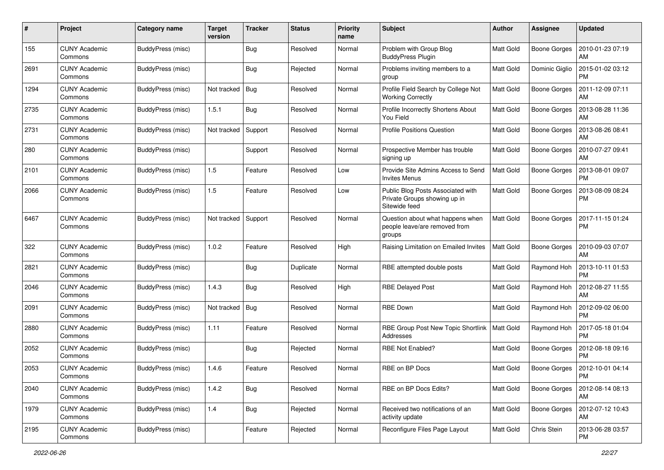| #    | Project                         | Category name            | <b>Target</b><br>version | <b>Tracker</b> | <b>Status</b> | <b>Priority</b><br>name | <b>Subject</b>                                                                     | Author           | <b>Assignee</b>     | <b>Updated</b>                |
|------|---------------------------------|--------------------------|--------------------------|----------------|---------------|-------------------------|------------------------------------------------------------------------------------|------------------|---------------------|-------------------------------|
| 155  | <b>CUNY Academic</b><br>Commons | BuddyPress (misc)        |                          | <b>Bug</b>     | Resolved      | Normal                  | Problem with Group Blog<br><b>BuddyPress Plugin</b>                                | Matt Gold        | <b>Boone Gorges</b> | 2010-01-23 07:19<br>AM        |
| 2691 | <b>CUNY Academic</b><br>Commons | BuddyPress (misc)        |                          | <b>Bug</b>     | Rejected      | Normal                  | Problems inviting members to a<br>group                                            | Matt Gold        | Dominic Giglio      | 2015-01-02 03:12<br><b>PM</b> |
| 1294 | CUNY Academic<br>Commons        | BuddyPress (misc)        | Not tracked              | <b>Bug</b>     | Resolved      | Normal                  | Profile Field Search by College Not<br><b>Working Correctly</b>                    | Matt Gold        | Boone Gorges        | 2011-12-09 07:11<br>AM        |
| 2735 | <b>CUNY Academic</b><br>Commons | BuddyPress (misc)        | 1.5.1                    | Bug            | Resolved      | Normal                  | Profile Incorrectly Shortens About<br>You Field                                    | <b>Matt Gold</b> | <b>Boone Gorges</b> | 2013-08-28 11:36<br>AM        |
| 2731 | <b>CUNY Academic</b><br>Commons | BuddyPress (misc)        | Not tracked              | Support        | Resolved      | Normal                  | <b>Profile Positions Question</b>                                                  | <b>Matt Gold</b> | <b>Boone Gorges</b> | 2013-08-26 08:41<br>AM        |
| 280  | <b>CUNY Academic</b><br>Commons | BuddyPress (misc)        |                          | Support        | Resolved      | Normal                  | Prospective Member has trouble<br>signing up                                       | <b>Matt Gold</b> | Boone Gorges        | 2010-07-27 09:41<br>AM        |
| 2101 | <b>CUNY Academic</b><br>Commons | BuddyPress (misc)        | 1.5                      | Feature        | Resolved      | Low                     | Provide Site Admins Access to Send<br><b>Invites Menus</b>                         | <b>Matt Gold</b> | Boone Gorges        | 2013-08-01 09:07<br><b>PM</b> |
| 2066 | <b>CUNY Academic</b><br>Commons | BuddyPress (misc)        | 1.5                      | Feature        | Resolved      | Low                     | Public Blog Posts Associated with<br>Private Groups showing up in<br>Sitewide feed | Matt Gold        | <b>Boone Gorges</b> | 2013-08-09 08:24<br><b>PM</b> |
| 6467 | <b>CUNY Academic</b><br>Commons | BuddyPress (misc)        | Not tracked              | Support        | Resolved      | Normal                  | Question about what happens when<br>people leave/are removed from<br>groups        | <b>Matt Gold</b> | <b>Boone Gorges</b> | 2017-11-15 01:24<br>PM        |
| 322  | <b>CUNY Academic</b><br>Commons | BuddyPress (misc)        | 1.0.2                    | Feature        | Resolved      | High                    | Raising Limitation on Emailed Invites                                              | <b>Matt Gold</b> | Boone Gorges        | 2010-09-03 07:07<br>AM        |
| 2821 | <b>CUNY Academic</b><br>Commons | BuddyPress (misc)        |                          | <b>Bug</b>     | Duplicate     | Normal                  | RBE attempted double posts                                                         | <b>Matt Gold</b> | Raymond Hoh         | 2013-10-11 01:53<br><b>PM</b> |
| 2046 | <b>CUNY Academic</b><br>Commons | BuddyPress (misc)        | 1.4.3                    | Bug            | Resolved      | High                    | <b>RBE Delayed Post</b>                                                            | Matt Gold        | Raymond Hoh         | 2012-08-27 11:55<br>AM        |
| 2091 | <b>CUNY Academic</b><br>Commons | BuddyPress (misc)        | Not tracked              | Bug            | Resolved      | Normal                  | <b>RBE Down</b>                                                                    | <b>Matt Gold</b> | Raymond Hoh         | 2012-09-02 06:00<br><b>PM</b> |
| 2880 | <b>CUNY Academic</b><br>Commons | BuddyPress (misc)        | 1.11                     | Feature        | Resolved      | Normal                  | RBE Group Post New Topic Shortlink<br>Addresses                                    | <b>Matt Gold</b> | Raymond Hoh         | 2017-05-18 01:04<br><b>PM</b> |
| 2052 | <b>CUNY Academic</b><br>Commons | BuddyPress (misc)        |                          | <b>Bug</b>     | Rejected      | Normal                  | <b>RBE Not Enabled?</b>                                                            | Matt Gold        | Boone Gorges        | 2012-08-18 09:16<br><b>PM</b> |
| 2053 | <b>CUNY Academic</b><br>Commons | BuddyPress (misc)        | 1.4.6                    | Feature        | Resolved      | Normal                  | RBE on BP Docs                                                                     | Matt Gold        | Boone Gorges        | 2012-10-01 04:14<br>PM        |
| 2040 | <b>CUNY Academic</b><br>Commons | BuddyPress (misc)        | 1.4.2                    | Bug            | Resolved      | Normal                  | RBE on BP Docs Edits?                                                              | Matt Gold        | <b>Boone Gorges</b> | 2012-08-14 08:13<br>AM        |
| 1979 | <b>CUNY Academic</b><br>Commons | BuddyPress (misc)        | 1.4                      | <b>Bug</b>     | Rejected      | Normal                  | Received two notifications of an<br>activity update                                | Matt Gold        | Boone Gorges        | 2012-07-12 10:43<br><b>AM</b> |
| 2195 | <b>CUNY Academic</b><br>Commons | <b>BuddyPress (misc)</b> |                          | Feature        | Rejected      | Normal                  | Reconfigure Files Page Layout                                                      | Matt Gold        | Chris Stein         | 2013-06-28 03:57<br>PM        |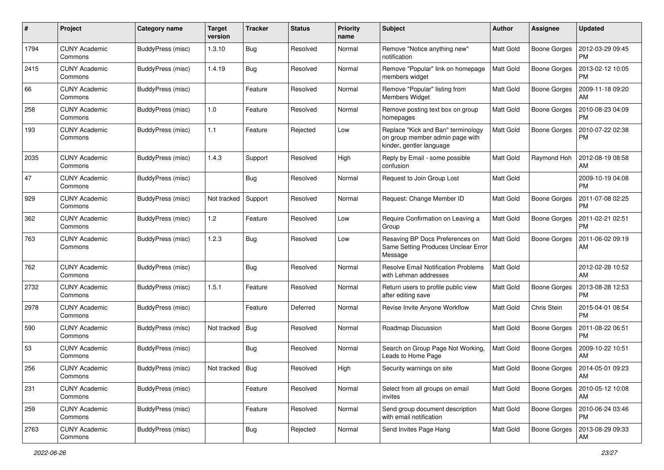| $\#$ | Project                         | <b>Category name</b> | <b>Target</b><br>version | <b>Tracker</b> | <b>Status</b> | <b>Priority</b><br>name | <b>Subject</b>                                                                                    | Author           | Assignee            | <b>Updated</b>                |
|------|---------------------------------|----------------------|--------------------------|----------------|---------------|-------------------------|---------------------------------------------------------------------------------------------------|------------------|---------------------|-------------------------------|
| 1794 | <b>CUNY Academic</b><br>Commons | BuddyPress (misc)    | 1.3.10                   | Bug            | Resolved      | Normal                  | Remove "Notice anything new"<br>notification                                                      | Matt Gold        | <b>Boone Gorges</b> | 2012-03-29 09:45<br><b>PM</b> |
| 2415 | <b>CUNY Academic</b><br>Commons | BuddyPress (misc)    | 1.4.19                   | <b>Bug</b>     | Resolved      | Normal                  | Remove "Popular" link on homepage<br>members widget                                               | Matt Gold        | <b>Boone Gorges</b> | 2013-02-12 10:05<br><b>PM</b> |
| 66   | CUNY Academic<br>Commons        | BuddyPress (misc)    |                          | Feature        | Resolved      | Normal                  | Remove "Popular" listing from<br>Members Widget                                                   | <b>Matt Gold</b> | <b>Boone Gorges</b> | 2009-11-18 09:20<br>AM        |
| 258  | <b>CUNY Academic</b><br>Commons | BuddyPress (misc)    | $1.0$                    | Feature        | Resolved      | Normal                  | Remove posting text box on group<br>homepages                                                     | Matt Gold        | <b>Boone Gorges</b> | 2010-08-23 04:09<br><b>PM</b> |
| 193  | <b>CUNY Academic</b><br>Commons | BuddyPress (misc)    | $1.1$                    | Feature        | Rejected      | Low                     | Replace "Kick and Ban" terminology<br>on group member admin page with<br>kinder, gentler language | <b>Matt Gold</b> | <b>Boone Gorges</b> | 2010-07-22 02:38<br><b>PM</b> |
| 2035 | CUNY Academic<br>Commons        | BuddyPress (misc)    | 1.4.3                    | Support        | Resolved      | High                    | Reply by Email - some possible<br>confusion                                                       | <b>Matt Gold</b> | Raymond Hoh         | 2012-08-19 08:58<br>AM        |
| 47   | <b>CUNY Academic</b><br>Commons | BuddyPress (misc)    |                          | Bug            | Resolved      | Normal                  | Request to Join Group Lost                                                                        | Matt Gold        |                     | 2009-10-19 04:08<br><b>PM</b> |
| 929  | CUNY Academic<br>Commons        | BuddyPress (misc)    | Not tracked              | Support        | Resolved      | Normal                  | Request: Change Member ID                                                                         | <b>Matt Gold</b> | <b>Boone Gorges</b> | 2011-07-08 02:25<br><b>PM</b> |
| 362  | <b>CUNY Academic</b><br>Commons | BuddyPress (misc)    | 1.2                      | Feature        | Resolved      | Low                     | Require Confirmation on Leaving a<br>Group                                                        | Matt Gold        | <b>Boone Gorges</b> | 2011-02-21 02:51<br><b>PM</b> |
| 763  | <b>CUNY Academic</b><br>Commons | BuddyPress (misc)    | 1.2.3                    | Bug            | Resolved      | Low                     | Resaving BP Docs Preferences on<br>Same Setting Produces Unclear Error<br>Message                 | <b>Matt Gold</b> | <b>Boone Gorges</b> | 2011-06-02 09:19<br>AM        |
| 762  | <b>CUNY Academic</b><br>Commons | BuddyPress (misc)    |                          | Bug            | Resolved      | Normal                  | <b>Resolve Email Notification Problems</b><br>with Lehman addresses                               | <b>Matt Gold</b> |                     | 2012-02-28 10:52<br>AM        |
| 2732 | CUNY Academic<br>Commons        | BuddyPress (misc)    | 1.5.1                    | Feature        | Resolved      | Normal                  | Return users to profile public view<br>after editing save                                         | <b>Matt Gold</b> | <b>Boone Gorges</b> | 2013-08-28 12:53<br><b>PM</b> |
| 2978 | <b>CUNY Academic</b><br>Commons | BuddyPress (misc)    |                          | Feature        | Deferred      | Normal                  | Revise Invite Anyone Workflow                                                                     | <b>Matt Gold</b> | Chris Stein         | 2015-04-01 08:54<br><b>PM</b> |
| 590  | <b>CUNY Academic</b><br>Commons | BuddyPress (misc)    | Not tracked              | Bug            | Resolved      | Normal                  | Roadmap Discussion                                                                                | Matt Gold        | <b>Boone Gorges</b> | 2011-08-22 06:51<br><b>PM</b> |
| 53   | <b>CUNY Academic</b><br>Commons | BuddyPress (misc)    |                          | <b>Bug</b>     | Resolved      | Normal                  | Search on Group Page Not Working,<br>Leads to Home Page                                           | <b>Matt Gold</b> | Boone Gorges        | 2009-10-22 10:51<br>AM        |
| 256  | CUNY Academic<br>Commons        | BuddyPress (misc)    | Not tracked              | Bug            | Resolved      | High                    | Security warnings on site                                                                         | <b>Matt Gold</b> | Boone Gorges        | 2014-05-01 09:23<br>AM        |
| 231  | <b>CUNY Academic</b><br>Commons | BuddyPress (misc)    |                          | Feature        | Resolved      | Normal                  | Select from all groups on email<br>invites                                                        | Matt Gold        | <b>Boone Gorges</b> | 2010-05-12 10:08<br>AM        |
| 259  | <b>CUNY Academic</b><br>Commons | BuddyPress (misc)    |                          | Feature        | Resolved      | Normal                  | Send group document description<br>with email notification                                        | Matt Gold        | <b>Boone Gorges</b> | 2010-06-24 03:46<br><b>PM</b> |
| 2763 | <b>CUNY Academic</b><br>Commons | BuddyPress (misc)    |                          | Bug            | Rejected      | Normal                  | Send Invites Page Hang                                                                            | Matt Gold        | Boone Gorges        | 2013-08-29 09:33<br>AM        |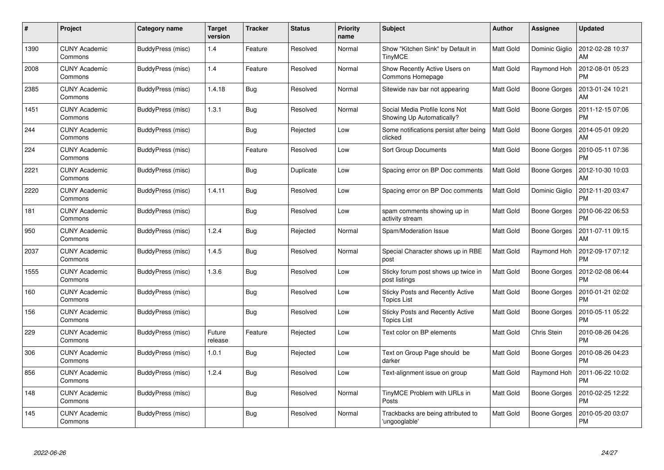| #    | Project                         | Category name     | <b>Target</b><br>version | <b>Tracker</b> | <b>Status</b> | <b>Priority</b><br>name | <b>Subject</b>                                                | <b>Author</b>    | Assignee            | <b>Updated</b>                |
|------|---------------------------------|-------------------|--------------------------|----------------|---------------|-------------------------|---------------------------------------------------------------|------------------|---------------------|-------------------------------|
| 1390 | <b>CUNY Academic</b><br>Commons | BuddyPress (misc) | 1.4                      | Feature        | Resolved      | Normal                  | Show "Kitchen Sink" by Default in<br><b>TinyMCE</b>           | <b>Matt Gold</b> | Dominic Giglio      | 2012-02-28 10:37<br>AM        |
| 2008 | <b>CUNY Academic</b><br>Commons | BuddyPress (misc) | 1.4                      | Feature        | Resolved      | Normal                  | Show Recently Active Users on<br>Commons Homepage             | <b>Matt Gold</b> | Raymond Hoh         | 2012-08-01 05:23<br><b>PM</b> |
| 2385 | <b>CUNY Academic</b><br>Commons | BuddyPress (misc) | 1.4.18                   | Bug            | Resolved      | Normal                  | Sitewide nav bar not appearing                                | <b>Matt Gold</b> | <b>Boone Gorges</b> | 2013-01-24 10:21<br>AM        |
| 1451 | <b>CUNY Academic</b><br>Commons | BuddyPress (misc) | 1.3.1                    | Bug            | Resolved      | Normal                  | Social Media Profile Icons Not<br>Showing Up Automatically?   | <b>Matt Gold</b> | Boone Gorges        | 2011-12-15 07:06<br><b>PM</b> |
| 244  | <b>CUNY Academic</b><br>Commons | BuddyPress (misc) |                          | <b>Bug</b>     | Rejected      | Low                     | Some notifications persist after being<br>clicked             | <b>Matt Gold</b> | <b>Boone Gorges</b> | 2014-05-01 09:20<br>AM        |
| 224  | <b>CUNY Academic</b><br>Commons | BuddyPress (misc) |                          | Feature        | Resolved      | Low                     | <b>Sort Group Documents</b>                                   | <b>Matt Gold</b> | Boone Gorges        | 2010-05-11 07:36<br><b>PM</b> |
| 2221 | <b>CUNY Academic</b><br>Commons | BuddyPress (misc) |                          | Bug            | Duplicate     | Low                     | Spacing error on BP Doc comments                              | <b>Matt Gold</b> | <b>Boone Gorges</b> | 2012-10-30 10:03<br>AM        |
| 2220 | <b>CUNY Academic</b><br>Commons | BuddyPress (misc) | 1.4.11                   | Bug            | Resolved      | Low                     | Spacing error on BP Doc comments                              | <b>Matt Gold</b> | Dominic Giglio      | 2012-11-20 03:47<br><b>PM</b> |
| 181  | <b>CUNY Academic</b><br>Commons | BuddyPress (misc) |                          | <b>Bug</b>     | Resolved      | Low                     | spam comments showing up in<br>activity stream                | <b>Matt Gold</b> | Boone Gorges        | 2010-06-22 06:53<br><b>PM</b> |
| 950  | <b>CUNY Academic</b><br>Commons | BuddyPress (misc) | 1.2.4                    | <b>Bug</b>     | Rejected      | Normal                  | Spam/Moderation Issue                                         | <b>Matt Gold</b> | <b>Boone Gorges</b> | 2011-07-11 09:15<br>AM        |
| 2037 | <b>CUNY Academic</b><br>Commons | BuddyPress (misc) | 1.4.5                    | Bug            | Resolved      | Normal                  | Special Character shows up in RBE<br>post                     | <b>Matt Gold</b> | Raymond Hoh         | 2012-09-17 07:12<br><b>PM</b> |
| 1555 | <b>CUNY Academic</b><br>Commons | BuddyPress (misc) | 1.3.6                    | Bug            | Resolved      | Low                     | Sticky forum post shows up twice in<br>post listings          | <b>Matt Gold</b> | Boone Gorges        | 2012-02-08 06:44<br><b>PM</b> |
| 160  | <b>CUNY Academic</b><br>Commons | BuddyPress (misc) |                          | <b>Bug</b>     | Resolved      | Low                     | <b>Sticky Posts and Recently Active</b><br>Topics List        | Matt Gold        | Boone Gorges        | 2010-01-21 02:02<br><b>PM</b> |
| 156  | <b>CUNY Academic</b><br>Commons | BuddyPress (misc) |                          | <b>Bug</b>     | Resolved      | Low                     | <b>Sticky Posts and Recently Active</b><br><b>Topics List</b> | Matt Gold        | <b>Boone Gorges</b> | 2010-05-11 05:22<br><b>PM</b> |
| 229  | <b>CUNY Academic</b><br>Commons | BuddyPress (misc) | Future<br>release        | Feature        | Rejected      | Low                     | Text color on BP elements                                     | <b>Matt Gold</b> | Chris Stein         | 2010-08-26 04:26<br><b>PM</b> |
| 306  | <b>CUNY Academic</b><br>Commons | BuddyPress (misc) | 1.0.1                    | Bug            | Rejected      | Low                     | Text on Group Page should be<br>darker                        | <b>Matt Gold</b> | <b>Boone Gorges</b> | 2010-08-26 04:23<br><b>PM</b> |
| 856  | <b>CUNY Academic</b><br>Commons | BuddyPress (misc) | 1.2.4                    | <b>Bug</b>     | Resolved      | Low                     | Text-alignment issue on group                                 | <b>Matt Gold</b> | Raymond Hoh         | 2011-06-22 10:02<br><b>PM</b> |
| 148  | <b>CUNY Academic</b><br>Commons | BuddyPress (misc) |                          | <b>Bug</b>     | Resolved      | Normal                  | TinyMCE Problem with URLs in<br>Posts                         | Matt Gold        | Boone Gorges        | 2010-02-25 12:22<br><b>PM</b> |
| 145  | CUNY Academic<br>Commons        | BuddyPress (misc) |                          | Bug            | Resolved      | Normal                  | Trackbacks are being attributed to<br>'ungooglable'           | Matt Gold        | Boone Gorges        | 2010-05-20 03:07<br><b>PM</b> |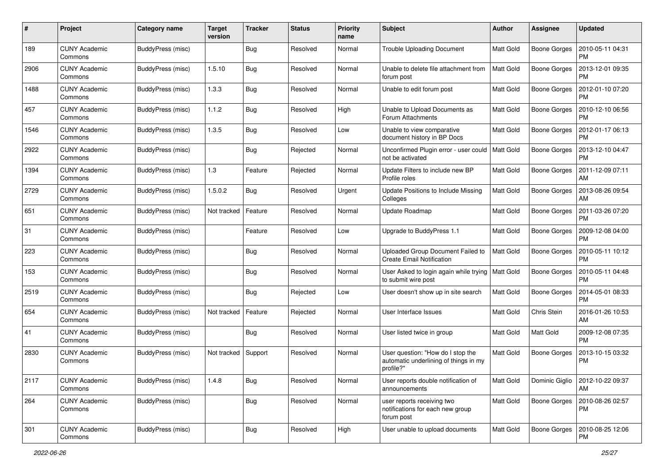| #    | Project                         | Category name     | <b>Target</b><br>version | <b>Tracker</b> | <b>Status</b> | <b>Priority</b><br>name | <b>Subject</b>                                                                          | Author           | <b>Assignee</b>     | <b>Updated</b>                |
|------|---------------------------------|-------------------|--------------------------|----------------|---------------|-------------------------|-----------------------------------------------------------------------------------------|------------------|---------------------|-------------------------------|
| 189  | <b>CUNY Academic</b><br>Commons | BuddyPress (misc) |                          | Bug            | Resolved      | Normal                  | <b>Trouble Uploading Document</b>                                                       | <b>Matt Gold</b> | <b>Boone Gorges</b> | 2010-05-11 04:31<br>PM        |
| 2906 | <b>CUNY Academic</b><br>Commons | BuddyPress (misc) | 1.5.10                   | <b>Bug</b>     | Resolved      | Normal                  | Unable to delete file attachment from<br>forum post                                     | <b>Matt Gold</b> | <b>Boone Gorges</b> | 2013-12-01 09:35<br><b>PM</b> |
| 1488 | <b>CUNY Academic</b><br>Commons | BuddyPress (misc) | 1.3.3                    | Bug            | Resolved      | Normal                  | Unable to edit forum post                                                               | Matt Gold        | <b>Boone Gorges</b> | 2012-01-10 07:20<br><b>PM</b> |
| 457  | <b>CUNY Academic</b><br>Commons | BuddyPress (misc) | 1.1.2                    | <b>Bug</b>     | Resolved      | High                    | Unable to Upload Documents as<br>Forum Attachments                                      | <b>Matt Gold</b> | <b>Boone Gorges</b> | 2010-12-10 06:56<br><b>PM</b> |
| 1546 | <b>CUNY Academic</b><br>Commons | BuddyPress (misc) | 1.3.5                    | <b>Bug</b>     | Resolved      | Low                     | Unable to view comparative<br>document history in BP Docs                               | Matt Gold        | <b>Boone Gorges</b> | 2012-01-17 06:13<br>PM        |
| 2922 | <b>CUNY Academic</b><br>Commons | BuddyPress (misc) |                          | <b>Bug</b>     | Rejected      | Normal                  | Unconfirmed Plugin error - user could<br>not be activated                               | <b>Matt Gold</b> | <b>Boone Gorges</b> | 2013-12-10 04:47<br><b>PM</b> |
| 1394 | <b>CUNY Academic</b><br>Commons | BuddyPress (misc) | 1.3                      | Feature        | Rejected      | Normal                  | Update Filters to include new BP<br>Profile roles                                       | <b>Matt Gold</b> | <b>Boone Gorges</b> | 2011-12-09 07:11<br>AM        |
| 2729 | <b>CUNY Academic</b><br>Commons | BuddyPress (misc) | 1.5.0.2                  | Bug            | Resolved      | Urgent                  | Update Positions to Include Missing<br>Colleges                                         | <b>Matt Gold</b> | <b>Boone Gorges</b> | 2013-08-26 09:54<br>AM        |
| 651  | <b>CUNY Academic</b><br>Commons | BuddyPress (misc) | Not tracked              | Feature        | Resolved      | Normal                  | Update Roadmap                                                                          | <b>Matt Gold</b> | <b>Boone Gorges</b> | 2011-03-26 07:20<br><b>PM</b> |
| 31   | <b>CUNY Academic</b><br>Commons | BuddyPress (misc) |                          | Feature        | Resolved      | Low                     | Upgrade to BuddyPress 1.1                                                               | Matt Gold        | <b>Boone Gorges</b> | 2009-12-08 04:00<br><b>PM</b> |
| 223  | <b>CUNY Academic</b><br>Commons | BuddyPress (misc) |                          | <b>Bug</b>     | Resolved      | Normal                  | Uploaded Group Document Failed to<br><b>Create Email Notification</b>                   | <b>Matt Gold</b> | Boone Gorges        | 2010-05-11 10:12<br><b>PM</b> |
| 153  | <b>CUNY Academic</b><br>Commons | BuddyPress (misc) |                          | <b>Bug</b>     | Resolved      | Normal                  | User Asked to login again while trying<br>to submit wire post                           | <b>Matt Gold</b> | <b>Boone Gorges</b> | 2010-05-11 04:48<br><b>PM</b> |
| 2519 | <b>CUNY Academic</b><br>Commons | BuddyPress (misc) |                          | <b>Bug</b>     | Rejected      | Low                     | User doesn't show up in site search                                                     | <b>Matt Gold</b> | <b>Boone Gorges</b> | 2014-05-01 08:33<br><b>PM</b> |
| 654  | <b>CUNY Academic</b><br>Commons | BuddyPress (misc) | Not tracked              | Feature        | Rejected      | Normal                  | User Interface Issues                                                                   | <b>Matt Gold</b> | Chris Stein         | 2016-01-26 10:53<br>AM        |
| 41   | <b>CUNY Academic</b><br>Commons | BuddyPress (misc) |                          | <b>Bug</b>     | Resolved      | Normal                  | User listed twice in group                                                              | <b>Matt Gold</b> | Matt Gold           | 2009-12-08 07:35<br><b>PM</b> |
| 2830 | <b>CUNY Academic</b><br>Commons | BuddyPress (misc) | Not tracked              | Support        | Resolved      | Normal                  | User question: "How do I stop the<br>automatic underlining of things in my<br>profile?" | <b>Matt Gold</b> | Boone Gorges        | 2013-10-15 03:32<br><b>PM</b> |
| 2117 | <b>CUNY Academic</b><br>Commons | BuddyPress (misc) | 1.4.8                    | <b>Bug</b>     | Resolved      | Normal                  | User reports double notification of<br>announcements                                    | <b>Matt Gold</b> | Dominic Giglio      | 2012-10-22 09:37<br><b>AM</b> |
| 264  | <b>CUNY Academic</b><br>Commons | BuddyPress (misc) |                          | <b>Bug</b>     | Resolved      | Normal                  | user reports receiving two<br>notifications for each new group<br>forum post            | Matt Gold        | <b>Boone Gorges</b> | 2010-08-26 02:57<br>PM        |
| 301  | <b>CUNY Academic</b><br>Commons | BuddyPress (misc) |                          | <b>Bug</b>     | Resolved      | High                    | User unable to upload documents                                                         | Matt Gold        | <b>Boone Gorges</b> | 2010-08-25 12:06<br>PM        |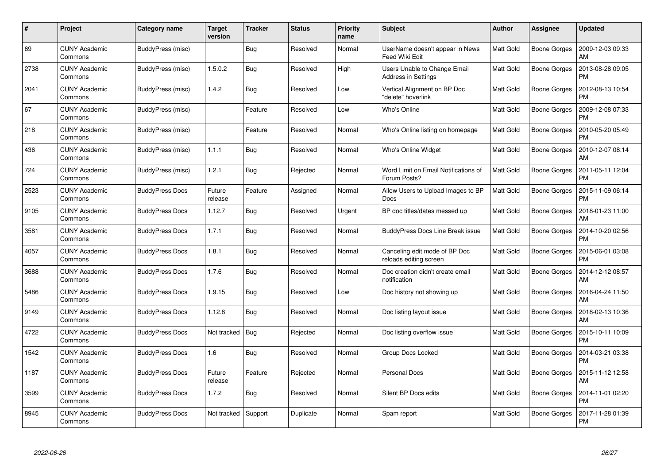| #    | Project                         | Category name          | <b>Target</b><br>version | <b>Tracker</b> | <b>Status</b> | <b>Priority</b><br>name | <b>Subject</b>                                             | <b>Author</b>    | <b>Assignee</b>     | <b>Updated</b>                |
|------|---------------------------------|------------------------|--------------------------|----------------|---------------|-------------------------|------------------------------------------------------------|------------------|---------------------|-------------------------------|
| 69   | <b>CUNY Academic</b><br>Commons | BuddyPress (misc)      |                          | Bug            | Resolved      | Normal                  | UserName doesn't appear in News<br>Feed Wiki Edit          | Matt Gold        | Boone Gorges        | 2009-12-03 09:33<br>AM        |
| 2738 | <b>CUNY Academic</b><br>Commons | BuddyPress (misc)      | 1.5.0.2                  | Bug            | Resolved      | High                    | Users Unable to Change Email<br><b>Address in Settings</b> | Matt Gold        | Boone Gorges        | 2013-08-28 09:05<br><b>PM</b> |
| 2041 | <b>CUNY Academic</b><br>Commons | BuddyPress (misc)      | 1.4.2                    | Bug            | Resolved      | Low                     | Vertical Alignment on BP Doc<br>"delete" hoverlink         | <b>Matt Gold</b> | Boone Gorges        | 2012-08-13 10:54<br><b>PM</b> |
| 67   | <b>CUNY Academic</b><br>Commons | BuddyPress (misc)      |                          | Feature        | Resolved      | Low                     | Who's Online                                               | Matt Gold        | Boone Gorges        | 2009-12-08 07:33<br><b>PM</b> |
| 218  | <b>CUNY Academic</b><br>Commons | BuddyPress (misc)      |                          | Feature        | Resolved      | Normal                  | Who's Online listing on homepage                           | <b>Matt Gold</b> | Boone Gorges        | 2010-05-20 05:49<br><b>PM</b> |
| 436  | <b>CUNY Academic</b><br>Commons | BuddyPress (misc)      | 1.1.1                    | Bug            | Resolved      | Normal                  | Who's Online Widget                                        | Matt Gold        | <b>Boone Gorges</b> | 2010-12-07 08:14<br>AM        |
| 724  | <b>CUNY Academic</b><br>Commons | BuddyPress (misc)      | 1.2.1                    | <b>Bug</b>     | Rejected      | Normal                  | Word Limit on Email Notifications of<br>Forum Posts?       | Matt Gold        | Boone Gorges        | 2011-05-11 12:04<br><b>PM</b> |
| 2523 | <b>CUNY Academic</b><br>Commons | <b>BuddyPress Docs</b> | Future<br>release        | Feature        | Assigned      | Normal                  | Allow Users to Upload Images to BP<br>Docs                 | <b>Matt Gold</b> | Boone Gorges        | 2015-11-09 06:14<br><b>PM</b> |
| 9105 | <b>CUNY Academic</b><br>Commons | <b>BuddyPress Docs</b> | 1.12.7                   | Bug            | Resolved      | Urgent                  | BP doc titles/dates messed up                              | <b>Matt Gold</b> | Boone Gorges        | 2018-01-23 11:00<br>AM        |
| 3581 | <b>CUNY Academic</b><br>Commons | <b>BuddyPress Docs</b> | 1.7.1                    | Bug            | Resolved      | Normal                  | <b>BuddyPress Docs Line Break issue</b>                    | Matt Gold        | Boone Gorges        | 2014-10-20 02:56<br><b>PM</b> |
| 4057 | <b>CUNY Academic</b><br>Commons | <b>BuddyPress Docs</b> | 1.8.1                    | <b>Bug</b>     | Resolved      | Normal                  | Canceling edit mode of BP Doc<br>reloads editing screen    | Matt Gold        | Boone Gorges        | 2015-06-01 03:08<br><b>PM</b> |
| 3688 | CUNY Academic<br>Commons        | <b>BuddyPress Docs</b> | 1.7.6                    | <b>Bug</b>     | Resolved      | Normal                  | Doc creation didn't create email<br>notification           | <b>Matt Gold</b> | Boone Gorges        | 2014-12-12 08:57<br>AM        |
| 5486 | <b>CUNY Academic</b><br>Commons | <b>BuddyPress Docs</b> | 1.9.15                   | Bug            | Resolved      | Low                     | Doc history not showing up                                 | Matt Gold        | Boone Gorges        | 2016-04-24 11:50<br>AM        |
| 9149 | <b>CUNY Academic</b><br>Commons | <b>BuddyPress Docs</b> | 1.12.8                   | Bug            | Resolved      | Normal                  | Doc listing layout issue                                   | Matt Gold        | Boone Gorges        | 2018-02-13 10:36<br>AM        |
| 4722 | <b>CUNY Academic</b><br>Commons | <b>BuddyPress Docs</b> | Not tracked              | Bug            | Rejected      | Normal                  | Doc listing overflow issue                                 | Matt Gold        | Boone Gorges        | 2015-10-11 10:09<br><b>PM</b> |
| 1542 | <b>CUNY Academic</b><br>Commons | <b>BuddyPress Docs</b> | 1.6                      | Bug            | Resolved      | Normal                  | Group Docs Locked                                          | Matt Gold        | Boone Gorges        | 2014-03-21 03:38<br><b>PM</b> |
| 1187 | <b>CUNY Academic</b><br>Commons | <b>BuddyPress Docs</b> | Future<br>release        | Feature        | Rejected      | Normal                  | Personal Docs                                              | Matt Gold        | Boone Gorges        | 2015-11-12 12:58<br>AM        |
| 3599 | <b>CUNY Academic</b><br>Commons | <b>BuddyPress Docs</b> | 1.7.2                    | Bug            | Resolved      | Normal                  | Silent BP Docs edits                                       | Matt Gold        | Boone Gorges        | 2014-11-01 02:20<br><b>PM</b> |
| 8945 | CUNY Academic<br>Commons        | <b>BuddyPress Docs</b> | Not tracked              | Support        | Duplicate     | Normal                  | Spam report                                                | <b>Matt Gold</b> | Boone Gorges        | 2017-11-28 01:39<br><b>PM</b> |